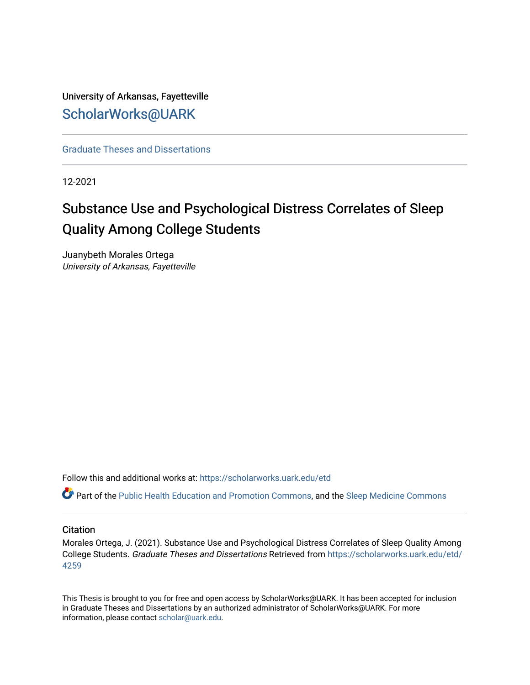University of Arkansas, Fayetteville [ScholarWorks@UARK](https://scholarworks.uark.edu/) 

[Graduate Theses and Dissertations](https://scholarworks.uark.edu/etd) 

12-2021

# Substance Use and Psychological Distress Correlates of Sleep Quality Among College Students

Juanybeth Morales Ortega University of Arkansas, Fayetteville

Follow this and additional works at: [https://scholarworks.uark.edu/etd](https://scholarworks.uark.edu/etd?utm_source=scholarworks.uark.edu%2Fetd%2F4259&utm_medium=PDF&utm_campaign=PDFCoverPages)

Part of the [Public Health Education and Promotion Commons,](http://network.bepress.com/hgg/discipline/743?utm_source=scholarworks.uark.edu%2Fetd%2F4259&utm_medium=PDF&utm_campaign=PDFCoverPages) and the [Sleep Medicine Commons](http://network.bepress.com/hgg/discipline/1383?utm_source=scholarworks.uark.edu%2Fetd%2F4259&utm_medium=PDF&utm_campaign=PDFCoverPages)

#### **Citation**

Morales Ortega, J. (2021). Substance Use and Psychological Distress Correlates of Sleep Quality Among College Students. Graduate Theses and Dissertations Retrieved from [https://scholarworks.uark.edu/etd/](https://scholarworks.uark.edu/etd/4259?utm_source=scholarworks.uark.edu%2Fetd%2F4259&utm_medium=PDF&utm_campaign=PDFCoverPages) [4259](https://scholarworks.uark.edu/etd/4259?utm_source=scholarworks.uark.edu%2Fetd%2F4259&utm_medium=PDF&utm_campaign=PDFCoverPages)

This Thesis is brought to you for free and open access by ScholarWorks@UARK. It has been accepted for inclusion in Graduate Theses and Dissertations by an authorized administrator of ScholarWorks@UARK. For more information, please contact [scholar@uark.edu.](mailto:scholar@uark.edu)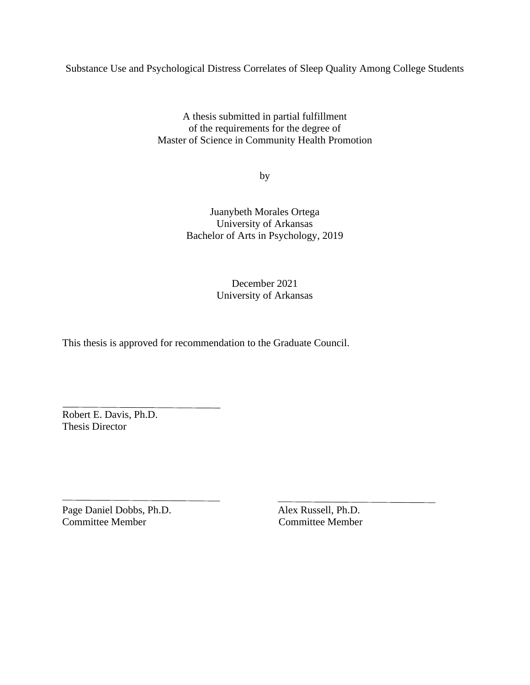Substance Use and Psychological Distress Correlates of Sleep Quality Among College Students

A thesis submitted in partial fulfillment of the requirements for the degree of Master of Science in Community Health Promotion

by

Juanybeth Morales Ortega University of Arkansas Bachelor of Arts in Psychology, 2019

## December 2021 University of Arkansas

This thesis is approved for recommendation to the Graduate Council.

Robert E. Davis, Ph.D. Thesis Director

Page Daniel Dobbs, Ph.D. Alex Russell, Ph.D. Committee Member Committee Member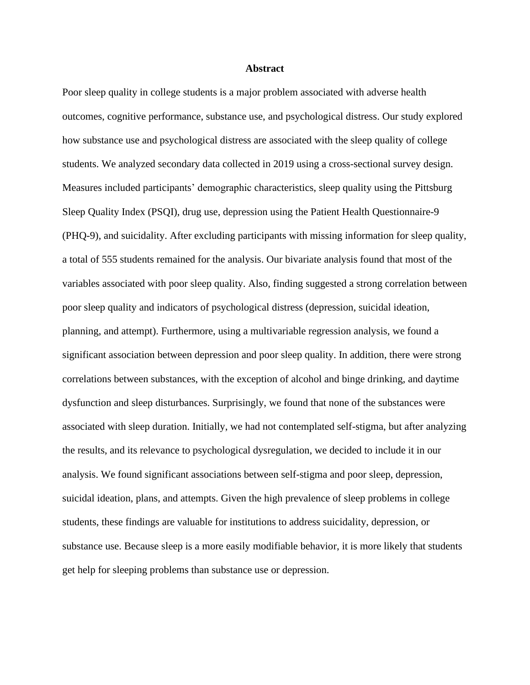#### **Abstract**

Poor sleep quality in college students is a major problem associated with adverse health outcomes, cognitive performance, substance use, and psychological distress. Our study explored how substance use and psychological distress are associated with the sleep quality of college students. We analyzed secondary data collected in 2019 using a cross-sectional survey design. Measures included participants' demographic characteristics, sleep quality using the Pittsburg Sleep Quality Index (PSQI), drug use, depression using the Patient Health Questionnaire-9 (PHQ-9), and suicidality. After excluding participants with missing information for sleep quality, a total of 555 students remained for the analysis. Our bivariate analysis found that most of the variables associated with poor sleep quality. Also, finding suggested a strong correlation between poor sleep quality and indicators of psychological distress (depression, suicidal ideation, planning, and attempt). Furthermore, using a multivariable regression analysis, we found a significant association between depression and poor sleep quality. In addition, there were strong correlations between substances, with the exception of alcohol and binge drinking, and daytime dysfunction and sleep disturbances. Surprisingly, we found that none of the substances were associated with sleep duration. Initially, we had not contemplated self-stigma, but after analyzing the results, and its relevance to psychological dysregulation, we decided to include it in our analysis. We found significant associations between self-stigma and poor sleep, depression, suicidal ideation, plans, and attempts. Given the high prevalence of sleep problems in college students, these findings are valuable for institutions to address suicidality, depression, or substance use. Because sleep is a more easily modifiable behavior, it is more likely that students get help for sleeping problems than substance use or depression.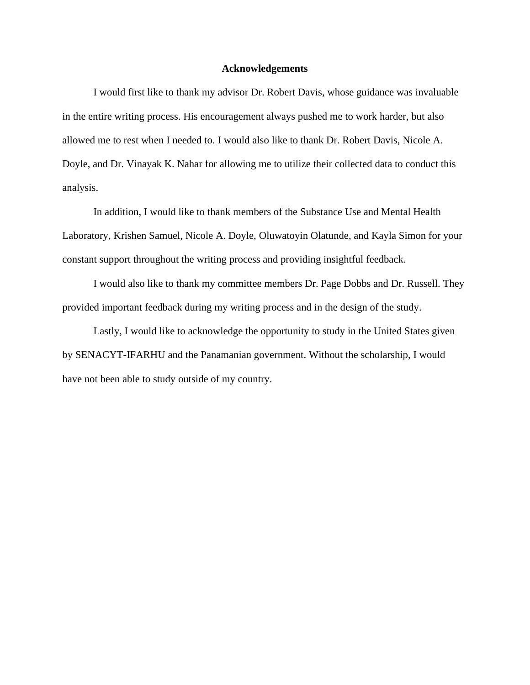#### **Acknowledgements**

I would first like to thank my advisor Dr. Robert Davis, whose guidance was invaluable in the entire writing process. His encouragement always pushed me to work harder, but also allowed me to rest when I needed to. I would also like to thank Dr. Robert Davis, Nicole A. Doyle, and Dr. Vinayak K. Nahar for allowing me to utilize their collected data to conduct this analysis.

In addition, I would like to thank members of the Substance Use and Mental Health Laboratory, Krishen Samuel, Nicole A. Doyle, Oluwatoyin Olatunde, and Kayla Simon for your constant support throughout the writing process and providing insightful feedback.

I would also like to thank my committee members Dr. Page Dobbs and Dr. Russell. They provided important feedback during my writing process and in the design of the study.

Lastly, I would like to acknowledge the opportunity to study in the United States given by SENACYT-IFARHU and the Panamanian government. Without the scholarship, I would have not been able to study outside of my country.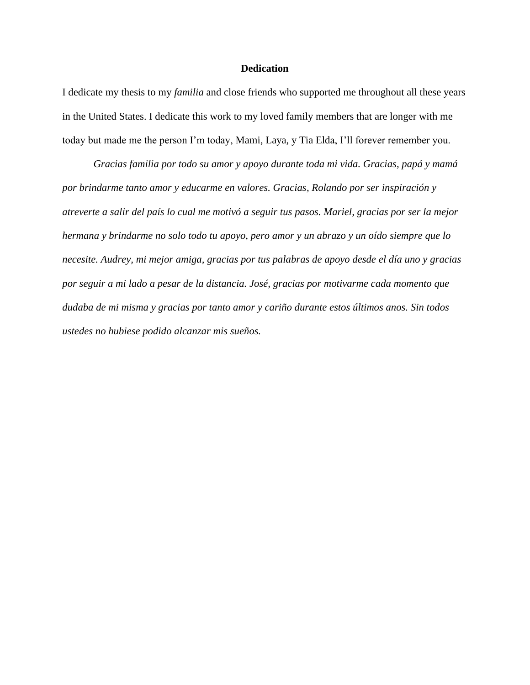#### **Dedication**

I dedicate my thesis to my *familia* and close friends who supported me throughout all these years in the United States. I dedicate this work to my loved family members that are longer with me today but made me the person I'm today, Mami, Laya, y Tia Elda, I'll forever remember you.

*Gracias familia por todo su amor y apoyo durante toda mi vida. Gracias, papá y mamá por brindarme tanto amor y educarme en valores. Gracias, Rolando por ser inspiración y atreverte a salir del país lo cual me motivó a seguir tus pasos. Mariel, gracias por ser la mejor hermana y brindarme no solo todo tu apoyo, pero amor y un abrazo y un oído siempre que lo necesite. Audrey, mi mejor amiga, gracias por tus palabras de apoyo desde el día uno y gracias por seguir a mi lado a pesar de la distancia. José, gracias por motivarme cada momento que dudaba de mi misma y gracias por tanto amor y cariño durante estos últimos anos. Sin todos ustedes no hubiese podido alcanzar mis sueños.*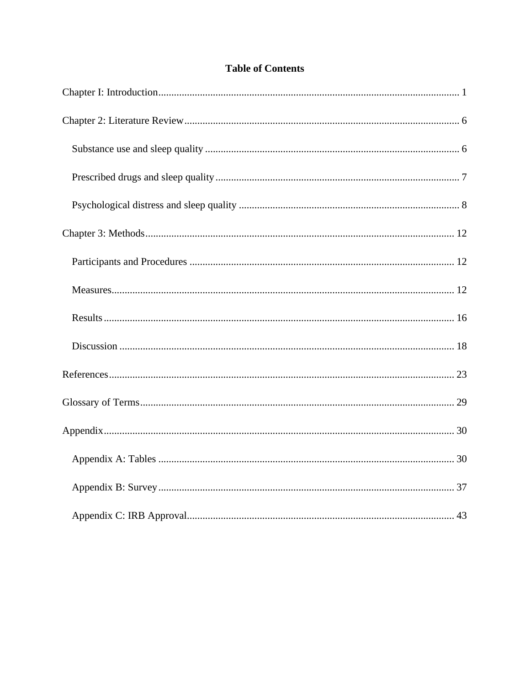## **Table of Contents**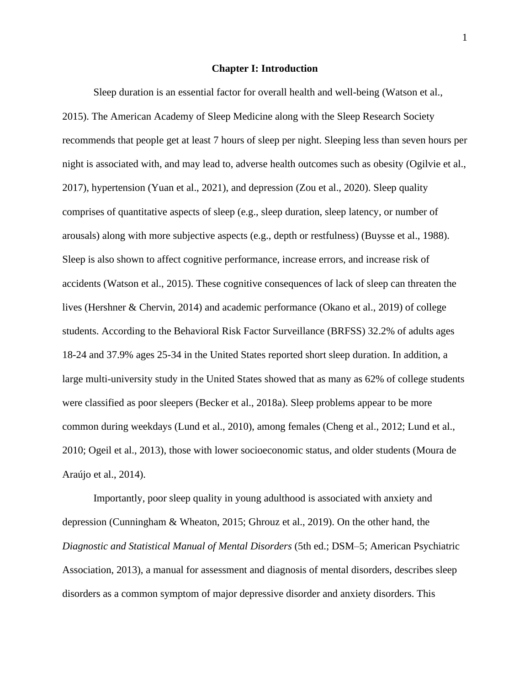#### **Chapter I: Introduction**

<span id="page-6-0"></span>Sleep duration is an essential factor for overall health and well-being (Watson et al., 2015). The American Academy of Sleep Medicine along with the Sleep Research Society recommends that people get at least 7 hours of sleep per night. Sleeping less than seven hours per night is associated with, and may lead to, adverse health outcomes such as obesity (Ogilvie et al., 2017), hypertension (Yuan et al., 2021), and depression (Zou et al., 2020). Sleep quality comprises of quantitative aspects of sleep (e.g., sleep duration, sleep latency, or number of arousals) along with more subjective aspects (e.g., depth or restfulness) (Buysse et al., 1988). Sleep is also shown to affect cognitive performance, increase errors, and increase risk of accidents (Watson et al., 2015). These cognitive consequences of lack of sleep can threaten the lives (Hershner & Chervin, 2014) and academic performance (Okano et al., 2019) of college students. According to the Behavioral Risk Factor Surveillance (BRFSS) 32.2% of adults ages 18-24 and 37.9% ages 25-34 in the United States reported short sleep duration. In addition, a large multi-university study in the United States showed that as many as 62% of college students were classified as poor sleepers (Becker et al., 2018a). Sleep problems appear to be more common during weekdays (Lund et al., 2010), among females (Cheng et al., 2012; Lund et al., 2010; Ogeil et al., 2013), those with lower socioeconomic status, and older students (Moura de Araújo et al., 2014).

Importantly, poor sleep quality in young adulthood is associated with anxiety and depression (Cunningham & Wheaton, 2015; Ghrouz et al., 2019). On the other hand, the *Diagnostic and Statistical Manual of Mental Disorders* (5th ed.; DSM–5; American Psychiatric Association, 2013), a manual for assessment and diagnosis of mental disorders, describes sleep disorders as a common symptom of major depressive disorder and anxiety disorders. This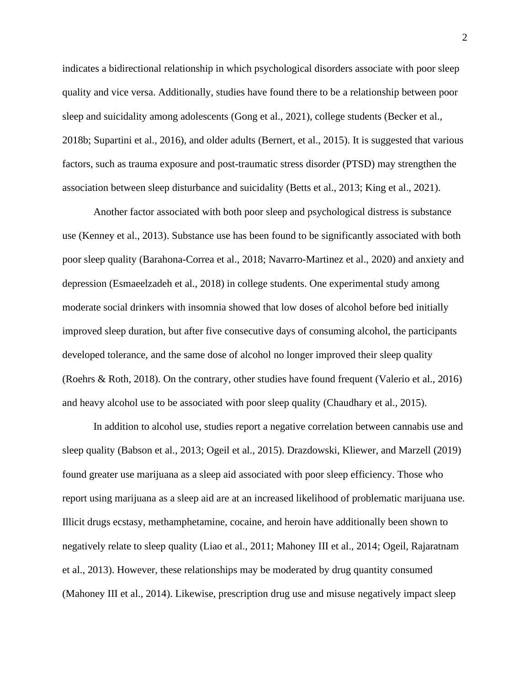indicates a bidirectional relationship in which psychological disorders associate with poor sleep quality and vice versa. Additionally, studies have found there to be a relationship between poor sleep and suicidality among adolescents (Gong et al., 2021), college students (Becker et al., 2018b; Supartini et al., 2016), and older adults (Bernert, et al., 2015). It is suggested that various factors, such as trauma exposure and post-traumatic stress disorder (PTSD) may strengthen the association between sleep disturbance and suicidality (Betts et al., 2013; King et al., 2021).

Another factor associated with both poor sleep and psychological distress is substance use (Kenney et al., 2013). Substance use has been found to be significantly associated with both poor sleep quality (Barahona-Correa et al., 2018; Navarro-Martinez et al., 2020) and anxiety and depression (Esmaeelzadeh et al., 2018) in college students. One experimental study among moderate social drinkers with insomnia showed that low doses of alcohol before bed initially improved sleep duration, but after five consecutive days of consuming alcohol, the participants developed tolerance, and the same dose of alcohol no longer improved their sleep quality (Roehrs & Roth, 2018). On the contrary, other studies have found frequent (Valerio et al., 2016) and heavy alcohol use to be associated with poor sleep quality (Chaudhary et al., 2015).

In addition to alcohol use, studies report a negative correlation between cannabis use and sleep quality (Babson et al., 2013; Ogeil et al., 2015). Drazdowski, Kliewer, and Marzell (2019) found greater use marijuana as a sleep aid associated with poor sleep efficiency. Those who report using marijuana as a sleep aid are at an increased likelihood of problematic marijuana use. Illicit drugs ecstasy, methamphetamine, cocaine, and heroin have additionally been shown to negatively relate to sleep quality (Liao et al., 2011; Mahoney III et al., 2014; Ogeil, Rajaratnam et al., 2013). However, these relationships may be moderated by drug quantity consumed (Mahoney III et al., 2014). Likewise, prescription drug use and misuse negatively impact sleep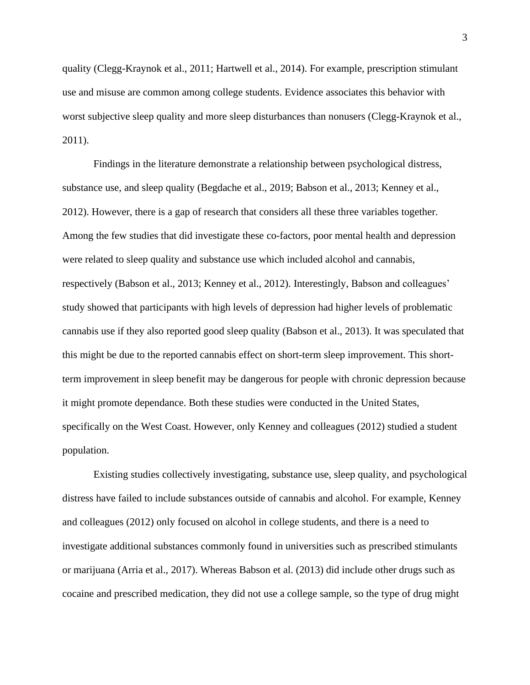quality (Clegg-Kraynok et al., 2011; Hartwell et al., 2014). For example, prescription stimulant use and misuse are common among college students. Evidence associates this behavior with worst subjective sleep quality and more sleep disturbances than nonusers (Clegg-Kraynok et al., 2011).

Findings in the literature demonstrate a relationship between psychological distress, substance use, and sleep quality (Begdache et al., 2019; Babson et al., 2013; Kenney et al., 2012). However, there is a gap of research that considers all these three variables together. Among the few studies that did investigate these co-factors, poor mental health and depression were related to sleep quality and substance use which included alcohol and cannabis, respectively (Babson et al., 2013; Kenney et al., 2012). Interestingly, Babson and colleagues' study showed that participants with high levels of depression had higher levels of problematic cannabis use if they also reported good sleep quality (Babson et al., 2013). It was speculated that this might be due to the reported cannabis effect on short-term sleep improvement. This shortterm improvement in sleep benefit may be dangerous for people with chronic depression because it might promote dependance. Both these studies were conducted in the United States, specifically on the West Coast. However, only Kenney and colleagues (2012) studied a student population.

Existing studies collectively investigating, substance use, sleep quality, and psychological distress have failed to include substances outside of cannabis and alcohol. For example, Kenney and colleagues (2012) only focused on alcohol in college students, and there is a need to investigate additional substances commonly found in universities such as prescribed stimulants or marijuana (Arria et al., 2017). Whereas Babson et al. (2013) did include other drugs such as cocaine and prescribed medication, they did not use a college sample, so the type of drug might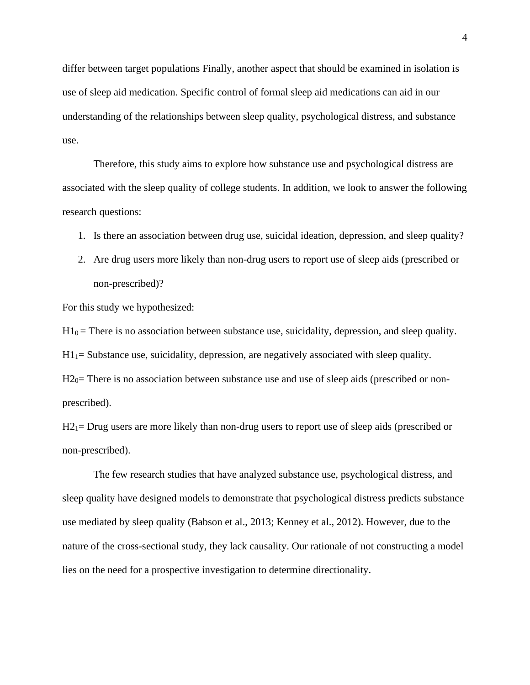differ between target populations Finally, another aspect that should be examined in isolation is use of sleep aid medication. Specific control of formal sleep aid medications can aid in our understanding of the relationships between sleep quality, psychological distress, and substance use.

Therefore, this study aims to explore how substance use and psychological distress are associated with the sleep quality of college students. In addition, we look to answer the following research questions:

- 1. Is there an association between drug use, suicidal ideation, depression, and sleep quality?
- 2. Are drug users more likely than non-drug users to report use of sleep aids (prescribed or non-prescribed)?

For this study we hypothesized:

 $H1_0$  = There is no association between substance use, suicidality, depression, and sleep quality.

 $H1_1$ = Substance use, suicidality, depression, are negatively associated with sleep quality.

 $H2<sub>0</sub>=$  There is no association between substance use and use of sleep aids (prescribed or nonprescribed).

 $H2_1$ = Drug users are more likely than non-drug users to report use of sleep aids (prescribed or non-prescribed).

The few research studies that have analyzed substance use, psychological distress, and sleep quality have designed models to demonstrate that psychological distress predicts substance use mediated by sleep quality (Babson et al., 2013; Kenney et al., 2012). However, due to the nature of the cross-sectional study, they lack causality. Our rationale of not constructing a model lies on the need for a prospective investigation to determine directionality.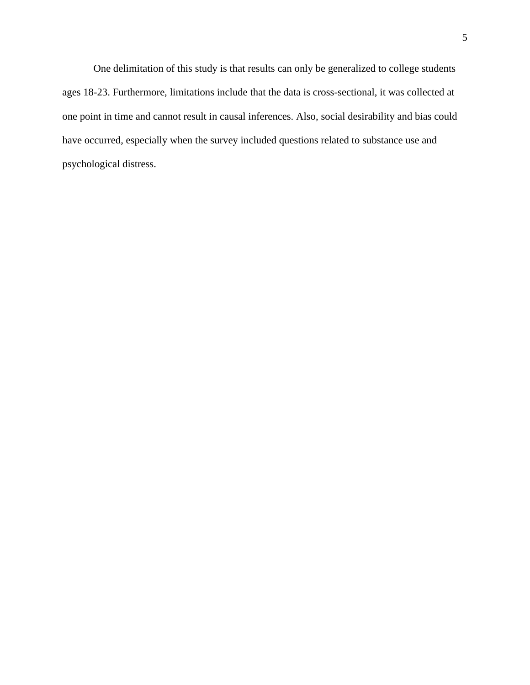One delimitation of this study is that results can only be generalized to college students ages 18-23. Furthermore, limitations include that the data is cross-sectional, it was collected at one point in time and cannot result in causal inferences. Also, social desirability and bias could have occurred, especially when the survey included questions related to substance use and psychological distress.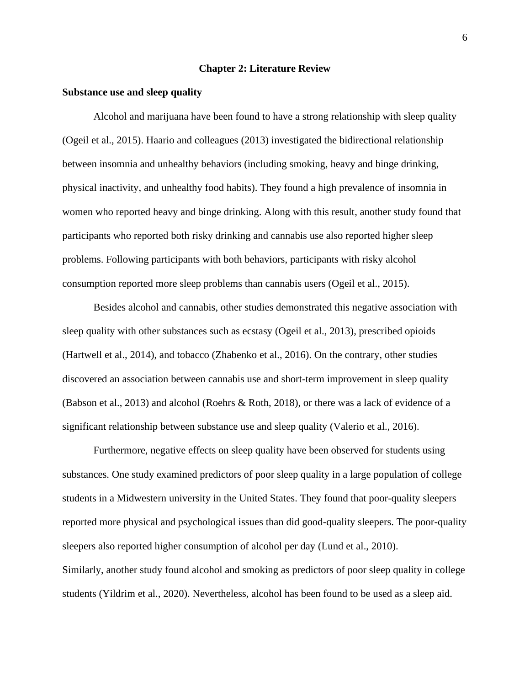#### **Chapter 2: Literature Review**

#### <span id="page-11-1"></span><span id="page-11-0"></span>**Substance use and sleep quality**

Alcohol and marijuana have been found to have a strong relationship with sleep quality (Ogeil et al., 2015). Haario and colleagues (2013) investigated the bidirectional relationship between insomnia and unhealthy behaviors (including smoking, heavy and binge drinking, physical inactivity, and unhealthy food habits). They found a high prevalence of insomnia in women who reported heavy and binge drinking. Along with this result, another study found that participants who reported both risky drinking and cannabis use also reported higher sleep problems. Following participants with both behaviors, participants with risky alcohol consumption reported more sleep problems than cannabis users (Ogeil et al., 2015).

Besides alcohol and cannabis, other studies demonstrated this negative association with sleep quality with other substances such as ecstasy (Ogeil et al., 2013), prescribed opioids (Hartwell et al., 2014), and tobacco (Zhabenko et al., 2016). On the contrary, other studies discovered an association between cannabis use and short-term improvement in sleep quality (Babson et al., 2013) and alcohol (Roehrs & Roth, 2018), or there was a lack of evidence of a significant relationship between substance use and sleep quality (Valerio et al., 2016).

Furthermore, negative effects on sleep quality have been observed for students using substances. One study examined predictors of poor sleep quality in a large population of college students in a Midwestern university in the United States. They found that poor-quality sleepers reported more physical and psychological issues than did good-quality sleepers. The poor-quality sleepers also reported higher consumption of alcohol per day (Lund et al., 2010). Similarly, another study found alcohol and smoking as predictors of poor sleep quality in college students (Yildrim et al., 2020). Nevertheless, alcohol has been found to be used as a sleep aid.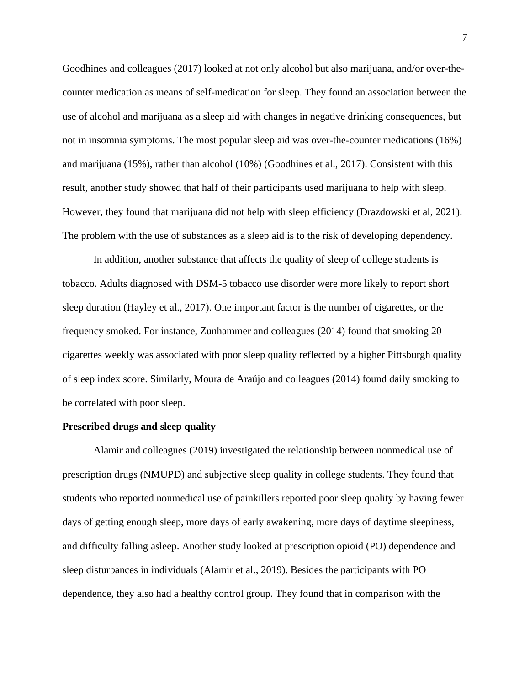Goodhines and colleagues (2017) looked at not only alcohol but also marijuana, and/or over-thecounter medication as means of self-medication for sleep. They found an association between the use of alcohol and marijuana as a sleep aid with changes in negative drinking consequences, but not in insomnia symptoms. The most popular sleep aid was over-the-counter medications (16%) and marijuana (15%), rather than alcohol (10%) (Goodhines et al., 2017). Consistent with this result, another study showed that half of their participants used marijuana to help with sleep. However, they found that marijuana did not help with sleep efficiency (Drazdowski et al, 2021). The problem with the use of substances as a sleep aid is to the risk of developing dependency.

In addition, another substance that affects the quality of sleep of college students is tobacco. Adults diagnosed with DSM-5 tobacco use disorder were more likely to report short sleep duration (Hayley et al., 2017). One important factor is the number of cigarettes, or the frequency smoked. For instance, Zunhammer and colleagues (2014) found that smoking 20 cigarettes weekly was associated with poor sleep quality reflected by a higher Pittsburgh quality of sleep index score. Similarly, Moura de Araújo and colleagues (2014) found daily smoking to be correlated with poor sleep.

#### <span id="page-12-0"></span>**Prescribed drugs and sleep quality**

Alamir and colleagues (2019) investigated the relationship between nonmedical use of prescription drugs (NMUPD) and subjective sleep quality in college students. They found that students who reported nonmedical use of painkillers reported poor sleep quality by having fewer days of getting enough sleep, more days of early awakening, more days of daytime sleepiness, and difficulty falling asleep. Another study looked at prescription opioid (PO) dependence and sleep disturbances in individuals (Alamir et al., 2019). Besides the participants with PO dependence, they also had a healthy control group. They found that in comparison with the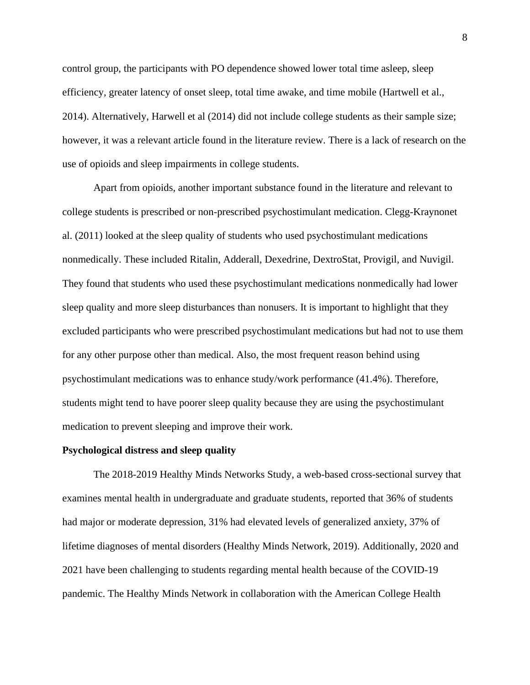control group, the participants with PO dependence showed lower total time asleep, sleep efficiency, greater latency of onset sleep, total time awake, and time mobile (Hartwell et al., 2014). Alternatively, Harwell et al (2014) did not include college students as their sample size; however, it was a relevant article found in the literature review. There is a lack of research on the use of opioids and sleep impairments in college students.

Apart from opioids, another important substance found in the literature and relevant to college students is prescribed or non-prescribed psychostimulant medication. Clegg-Kraynonet al. (2011) looked at the sleep quality of students who used psychostimulant medications nonmedically. These included Ritalin, Adderall, Dexedrine, DextroStat, Provigil, and Nuvigil. They found that students who used these psychostimulant medications nonmedically had lower sleep quality and more sleep disturbances than nonusers. It is important to highlight that they excluded participants who were prescribed psychostimulant medications but had not to use them for any other purpose other than medical. Also, the most frequent reason behind using psychostimulant medications was to enhance study/work performance (41.4%). Therefore, students might tend to have poorer sleep quality because they are using the psychostimulant medication to prevent sleeping and improve their work.

#### <span id="page-13-0"></span>**Psychological distress and sleep quality**

The 2018-2019 Healthy Minds Networks Study, a web-based cross-sectional survey that examines mental health in undergraduate and graduate students, reported that 36% of students had major or moderate depression, 31% had elevated levels of generalized anxiety, 37% of lifetime diagnoses of mental disorders (Healthy Minds Network, 2019). Additionally, 2020 and 2021 have been challenging to students regarding mental health because of the COVID-19 pandemic. The Healthy Minds Network in collaboration with the American College Health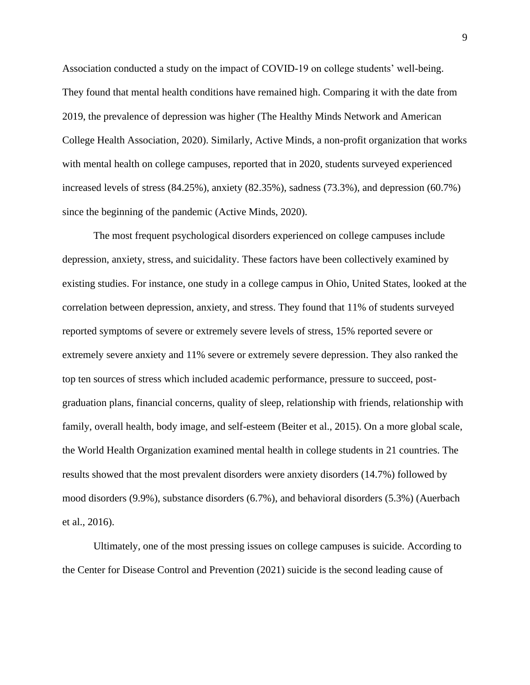Association conducted a study on the impact of COVID-19 on college students' well-being. They found that mental health conditions have remained high. Comparing it with the date from 2019, the prevalence of depression was higher (The Healthy Minds Network and American College Health Association, 2020). Similarly, Active Minds, a non-profit organization that works with mental health on college campuses, reported that in 2020, students surveyed experienced increased levels of stress (84.25%), anxiety (82.35%), sadness (73.3%), and depression (60.7%) since the beginning of the pandemic (Active Minds, 2020).

The most frequent psychological disorders experienced on college campuses include depression, anxiety, stress, and suicidality. These factors have been collectively examined by existing studies. For instance, one study in a college campus in Ohio, United States, looked at the correlation between depression, anxiety, and stress. They found that 11% of students surveyed reported symptoms of severe or extremely severe levels of stress, 15% reported severe or extremely severe anxiety and 11% severe or extremely severe depression. They also ranked the top ten sources of stress which included academic performance, pressure to succeed, postgraduation plans, financial concerns, quality of sleep, relationship with friends, relationship with family, overall health, body image, and self-esteem (Beiter et al., 2015). On a more global scale, the World Health Organization examined mental health in college students in 21 countries. The results showed that the most prevalent disorders were anxiety disorders (14.7%) followed by mood disorders (9.9%), substance disorders (6.7%), and behavioral disorders (5.3%) (Auerbach et al., 2016).

Ultimately, one of the most pressing issues on college campuses is suicide. According to the Center for Disease Control and Prevention (2021) suicide is the second leading cause of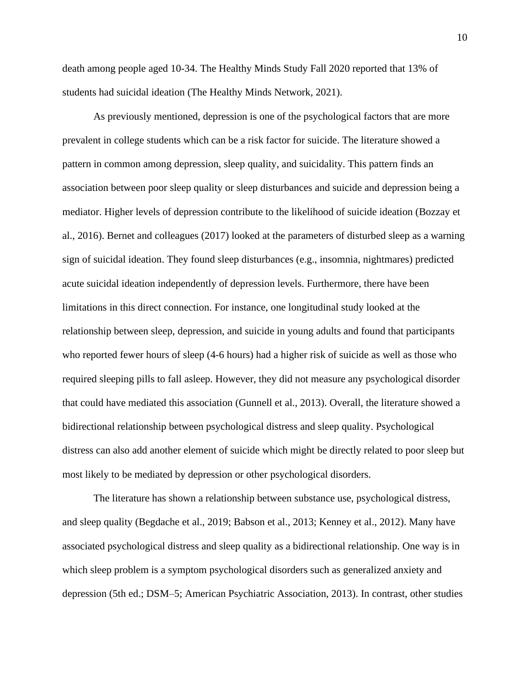death among people aged 10-34. The Healthy Minds Study Fall 2020 reported that 13% of students had suicidal ideation (The Healthy Minds Network, 2021).

As previously mentioned, depression is one of the psychological factors that are more prevalent in college students which can be a risk factor for suicide. The literature showed a pattern in common among depression, sleep quality, and suicidality. This pattern finds an association between poor sleep quality or sleep disturbances and suicide and depression being a mediator. Higher levels of depression contribute to the likelihood of suicide ideation (Bozzay et al., 2016). Bernet and colleagues (2017) looked at the parameters of disturbed sleep as a warning sign of suicidal ideation. They found sleep disturbances (e.g., insomnia, nightmares) predicted acute suicidal ideation independently of depression levels. Furthermore, there have been limitations in this direct connection. For instance, one longitudinal study looked at the relationship between sleep, depression, and suicide in young adults and found that participants who reported fewer hours of sleep (4-6 hours) had a higher risk of suicide as well as those who required sleeping pills to fall asleep. However, they did not measure any psychological disorder that could have mediated this association (Gunnell et al., 2013). Overall, the literature showed a bidirectional relationship between psychological distress and sleep quality. Psychological distress can also add another element of suicide which might be directly related to poor sleep but most likely to be mediated by depression or other psychological disorders.

The literature has shown a relationship between substance use, psychological distress, and sleep quality (Begdache et al., 2019; Babson et al., 2013; Kenney et al., 2012). Many have associated psychological distress and sleep quality as a bidirectional relationship. One way is in which sleep problem is a symptom psychological disorders such as generalized anxiety and depression (5th ed.; DSM–5; American Psychiatric Association, 2013). In contrast, other studies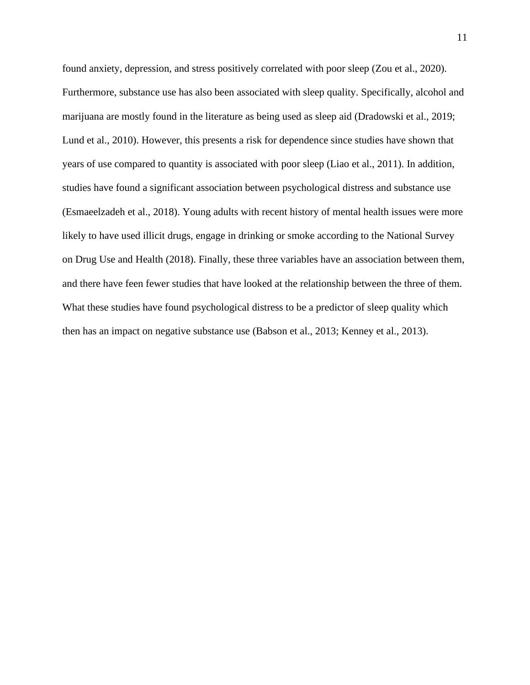found anxiety, depression, and stress positively correlated with poor sleep (Zou et al., 2020). Furthermore, substance use has also been associated with sleep quality. Specifically, alcohol and marijuana are mostly found in the literature as being used as sleep aid (Dradowski et al., 2019; Lund et al., 2010). However, this presents a risk for dependence since studies have shown that years of use compared to quantity is associated with poor sleep (Liao et al., 2011). In addition, studies have found a significant association between psychological distress and substance use (Esmaeelzadeh et al., 2018). Young adults with recent history of mental health issues were more likely to have used illicit drugs, engage in drinking or smoke according to the National Survey on Drug Use and Health (2018). Finally, these three variables have an association between them, and there have feen fewer studies that have looked at the relationship between the three of them. What these studies have found psychological distress to be a predictor of sleep quality which then has an impact on negative substance use (Babson et al., 2013; Kenney et al., 2013).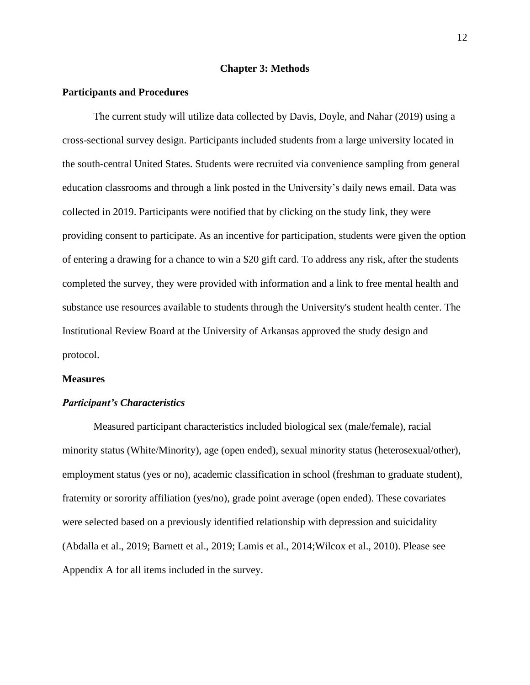#### **Chapter 3: Methods**

#### <span id="page-17-1"></span><span id="page-17-0"></span>**Participants and Procedures**

The current study will utilize data collected by Davis, Doyle, and Nahar (2019) using a cross-sectional survey design. Participants included students from a large university located in the south-central United States. Students were recruited via convenience sampling from general education classrooms and through a link posted in the University's daily news email. Data was collected in 2019. Participants were notified that by clicking on the study link, they were providing consent to participate. As an incentive for participation, students were given the option of entering a drawing for a chance to win a \$20 gift card. To address any risk, after the students completed the survey, they were provided with information and a link to free mental health and substance use resources available to students through the University's student health center. The Institutional Review Board at the University of Arkansas approved the study design and protocol.

#### <span id="page-17-2"></span>**Measures**

#### *Participant's Characteristics*

Measured participant characteristics included biological sex (male/female), racial minority status (White/Minority), age (open ended), sexual minority status (heterosexual/other), employment status (yes or no), academic classification in school (freshman to graduate student), fraternity or sorority affiliation (yes/no), grade point average (open ended). These covariates were selected based on a previously identified relationship with depression and suicidality (Abdalla et al., 2019; Barnett et al., 2019; Lamis et al., 2014;Wilcox et al., 2010). Please see Appendix A for all items included in the survey.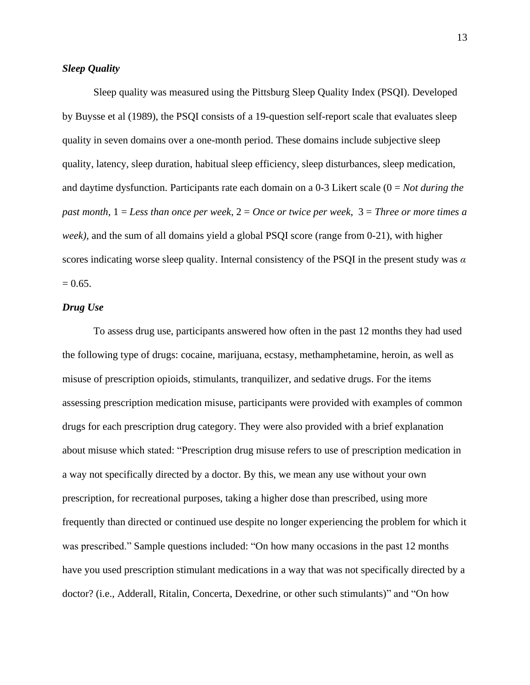#### *Sleep Quality*

Sleep quality was measured using the Pittsburg Sleep Quality Index (PSQI). Developed by Buysse et al (1989), the PSQI consists of a 19-question self-report scale that evaluates sleep quality in seven domains over a one-month period. These domains include subjective sleep quality, latency, sleep duration, habitual sleep efficiency, sleep disturbances, sleep medication, and daytime dysfunction. Participants rate each domain on a 0-3 Likert scale (0 = *Not during the past month*, 1 = *Less than once per week*, 2 = *Once or twice per week*, 3 = *Three or more times a week),* and the sum of all domains yield a global PSQI score (range from 0-21), with higher scores indicating worse sleep quality. Internal consistency of the PSQI in the present study was *α*  $= 0.65.$ 

#### *Drug Use*

To assess drug use, participants answered how often in the past 12 months they had used the following type of drugs: cocaine, marijuana, ecstasy, methamphetamine, heroin, as well as misuse of prescription opioids, stimulants, tranquilizer, and sedative drugs. For the items assessing prescription medication misuse, participants were provided with examples of common drugs for each prescription drug category. They were also provided with a brief explanation about misuse which stated: "Prescription drug misuse refers to use of prescription medication in a way not specifically directed by a doctor. By this, we mean any use without your own prescription, for recreational purposes, taking a higher dose than prescribed, using more frequently than directed or continued use despite no longer experiencing the problem for which it was prescribed." Sample questions included: "On how many occasions in the past 12 months have you used prescription stimulant medications in a way that was not specifically directed by a doctor? (i.e., Adderall, Ritalin, Concerta, Dexedrine, or other such stimulants)" and "On how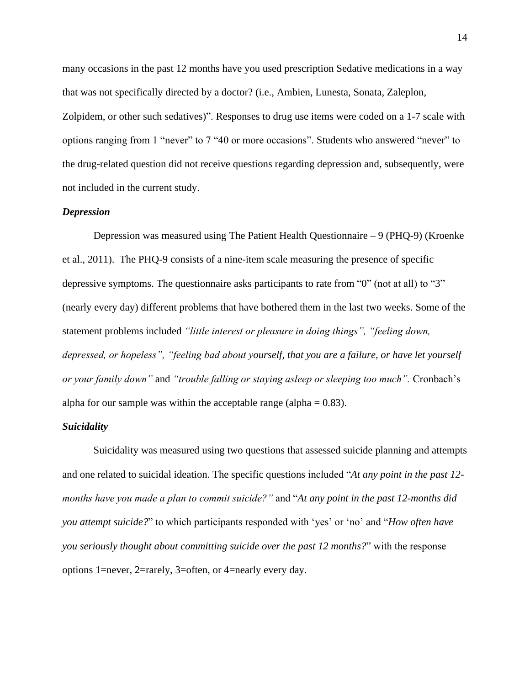many occasions in the past 12 months have you used prescription Sedative medications in a way that was not specifically directed by a doctor? (i.e., Ambien, Lunesta, Sonata, Zaleplon, Zolpidem, or other such sedatives)". Responses to drug use items were coded on a 1-7 scale with options ranging from 1 "never" to 7 "40 or more occasions". Students who answered "never" to the drug-related question did not receive questions regarding depression and, subsequently, were not included in the current study.

#### *Depression*

Depression was measured using The Patient Health Questionnaire – 9 (PHQ-9) (Kroenke et al., 2011). The PHQ-9 consists of a nine-item scale measuring the presence of specific depressive symptoms. The questionnaire asks participants to rate from "0" (not at all) to "3" (nearly every day) different problems that have bothered them in the last two weeks. Some of the statement problems included *"little interest or pleasure in doing things", "feeling down, depressed, or hopeless", "feeling bad about yourself, that you are a failure, or have let yourself or your family down"* and *"trouble falling or staying asleep or sleeping too much".* Cronbach's alpha for our sample was within the acceptable range (alpha  $= 0.83$ ).

#### *Suicidality*

Suicidality was measured using two questions that assessed suicide planning and attempts and one related to suicidal ideation. The specific questions included "*At any point in the past 12 months have you made a plan to commit suicide?"* and "*At any point in the past 12-months did you attempt suicide?*" to which participants responded with 'yes' or 'no' and "*How often have you seriously thought about committing suicide over the past 12 months?*" with the response options 1=never, 2=rarely, 3=often, or 4=nearly every day.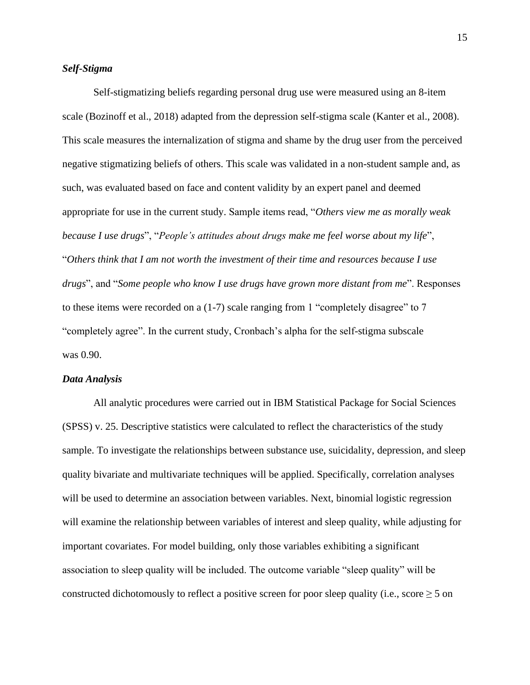#### *Self-Stigma*

Self-stigmatizing beliefs regarding personal drug use were measured using an 8-item scale (Bozinoff et al., 2018) adapted from the depression self-stigma scale (Kanter et al., 2008). This scale measures the internalization of stigma and shame by the drug user from the perceived negative stigmatizing beliefs of others. This scale was validated in a non-student sample and, as such, was evaluated based on face and content validity by an expert panel and deemed appropriate for use in the current study. Sample items read, "*Others view me as morally weak because I use drugs*", "*People's attitudes about drugs make me feel worse about my life*", "*Others think that I am not worth the investment of their time and resources because I use drugs*", and "*Some people who know I use drugs have grown more distant from me*". Responses to these items were recorded on a (1-7) scale ranging from 1 "completely disagree" to 7 "completely agree". In the current study, Cronbach's alpha for the self-stigma subscale was 0.90.

#### *Data Analysis*

All analytic procedures were carried out in IBM Statistical Package for Social Sciences (SPSS) v. 25. Descriptive statistics were calculated to reflect the characteristics of the study sample. To investigate the relationships between substance use, suicidality, depression, and sleep quality bivariate and multivariate techniques will be applied. Specifically, correlation analyses will be used to determine an association between variables. Next, binomial logistic regression will examine the relationship between variables of interest and sleep quality, while adjusting for important covariates. For model building, only those variables exhibiting a significant association to sleep quality will be included. The outcome variable "sleep quality" will be constructed dichotomously to reflect a positive screen for poor sleep quality (i.e., score  $\geq 5$  on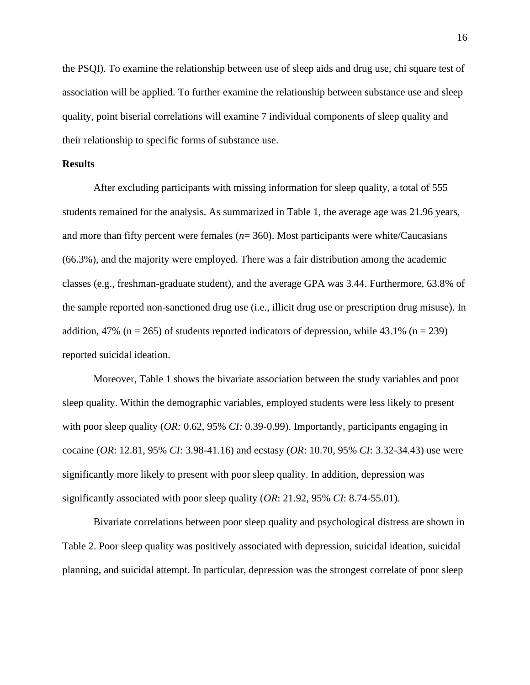the PSQI). To examine the relationship between use of sleep aids and drug use, chi square test of association will be applied. To further examine the relationship between substance use and sleep quality, point biserial correlations will examine 7 individual components of sleep quality and their relationship to specific forms of substance use.

#### <span id="page-21-0"></span>**Results**

After excluding participants with missing information for sleep quality, a total of 555 students remained for the analysis. As summarized in Table 1, the average age was 21.96 years, and more than fifty percent were females (*n*= 360). Most participants were white/Caucasians (66.3%), and the majority were employed. There was a fair distribution among the academic classes (e.g., freshman-graduate student), and the average GPA was 3.44. Furthermore, 63.8% of the sample reported non-sanctioned drug use (i.e., illicit drug use or prescription drug misuse). In addition, 47% (n = 265) of students reported indicators of depression, while 43.1% (n = 239) reported suicidal ideation.

Moreover, Table 1 shows the bivariate association between the study variables and poor sleep quality. Within the demographic variables, employed students were less likely to present with poor sleep quality (*OR:* 0.62, 95% *CI:* 0.39-0.99). Importantly, participants engaging in cocaine (*OR*: 12.81, 95% *CI*: 3.98-41.16) and ecstasy (*OR*: 10.70, 95% *CI*: 3.32-34.43) use were significantly more likely to present with poor sleep quality. In addition, depression was significantly associated with poor sleep quality (*OR*: 21.92, 95% *CI*: 8.74-55.01).

Bivariate correlations between poor sleep quality and psychological distress are shown in Table 2. Poor sleep quality was positively associated with depression, suicidal ideation, suicidal planning, and suicidal attempt. In particular, depression was the strongest correlate of poor sleep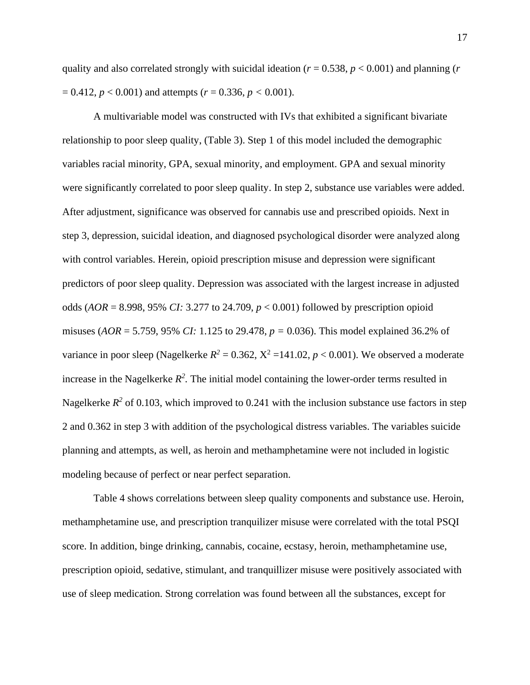quality and also correlated strongly with suicidal ideation (*r* = 0.538, *p* < 0.001) and planning (*r*  $= 0.412, p < 0.001$ ) and attempts ( $r = 0.336, p < 0.001$ ).

A multivariable model was constructed with IVs that exhibited a significant bivariate relationship to poor sleep quality, (Table 3). Step 1 of this model included the demographic variables racial minority, GPA, sexual minority, and employment. GPA and sexual minority were significantly correlated to poor sleep quality. In step 2, substance use variables were added. After adjustment, significance was observed for cannabis use and prescribed opioids. Next in step 3, depression, suicidal ideation, and diagnosed psychological disorder were analyzed along with control variables. Herein, opioid prescription misuse and depression were significant predictors of poor sleep quality. Depression was associated with the largest increase in adjusted odds (*AOR* = 8.998, 95% *CI:* 3.277 to 24.709, *p* < 0.001) followed by prescription opioid misuses (*AOR* = 5.759, 95% *CI:* 1.125 to 29.478, *p =* 0.036). This model explained 36.2% of variance in poor sleep (Nagelkerke  $R^2 = 0.362$ ,  $X^2 = 141.02$ ,  $p < 0.001$ ). We observed a moderate increase in the Nagelkerke  $R^2$ . The initial model containing the lower-order terms resulted in Nagelkerke  $R^2$  of 0.103, which improved to 0.241 with the inclusion substance use factors in step 2 and 0.362 in step 3 with addition of the psychological distress variables. The variables suicide planning and attempts, as well, as heroin and methamphetamine were not included in logistic modeling because of perfect or near perfect separation.

Table 4 shows correlations between sleep quality components and substance use. Heroin, methamphetamine use, and prescription tranquilizer misuse were correlated with the total PSQI score. In addition, binge drinking, cannabis, cocaine, ecstasy, heroin, methamphetamine use, prescription opioid, sedative, stimulant, and tranquillizer misuse were positively associated with use of sleep medication. Strong correlation was found between all the substances, except for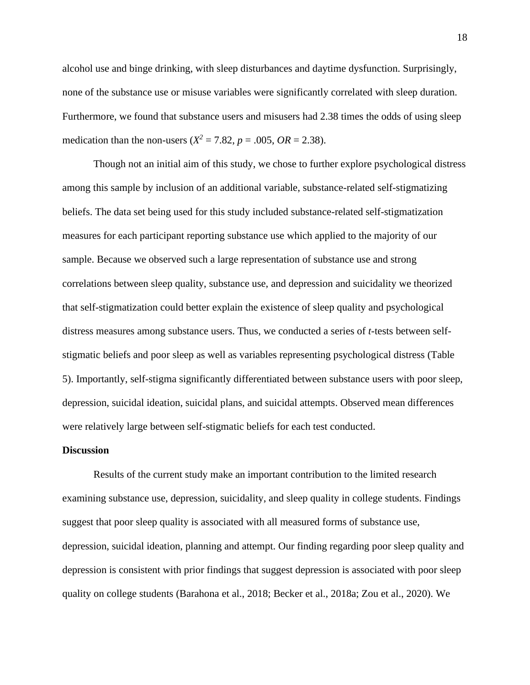alcohol use and binge drinking, with sleep disturbances and daytime dysfunction. Surprisingly, none of the substance use or misuse variables were significantly correlated with sleep duration. Furthermore, we found that substance users and misusers had 2.38 times the odds of using sleep medication than the non-users ( $X^2 = 7.82$ ,  $p = .005$ ,  $OR = 2.38$ ).

Though not an initial aim of this study, we chose to further explore psychological distress among this sample by inclusion of an additional variable, substance-related self-stigmatizing beliefs. The data set being used for this study included substance-related self-stigmatization measures for each participant reporting substance use which applied to the majority of our sample. Because we observed such a large representation of substance use and strong correlations between sleep quality, substance use, and depression and suicidality we theorized that self-stigmatization could better explain the existence of sleep quality and psychological distress measures among substance users. Thus, we conducted a series of *t*-tests between selfstigmatic beliefs and poor sleep as well as variables representing psychological distress (Table 5). Importantly, self-stigma significantly differentiated between substance users with poor sleep, depression, suicidal ideation, suicidal plans, and suicidal attempts. Observed mean differences were relatively large between self-stigmatic beliefs for each test conducted.

#### <span id="page-23-0"></span>**Discussion**

Results of the current study make an important contribution to the limited research examining substance use, depression, suicidality, and sleep quality in college students. Findings suggest that poor sleep quality is associated with all measured forms of substance use, depression, suicidal ideation, planning and attempt. Our finding regarding poor sleep quality and depression is consistent with prior findings that suggest depression is associated with poor sleep quality on college students (Barahona et al., 2018; Becker et al., 2018a; Zou et al., 2020). We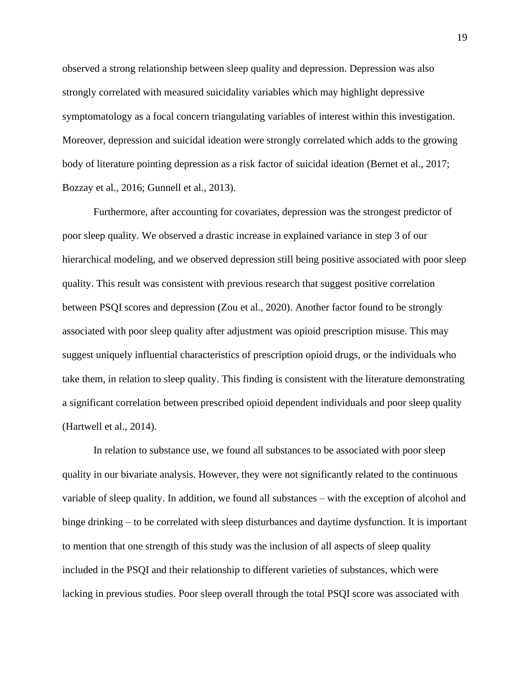observed a strong relationship between sleep quality and depression. Depression was also strongly correlated with measured suicidality variables which may highlight depressive symptomatology as a focal concern triangulating variables of interest within this investigation. Moreover, depression and suicidal ideation were strongly correlated which adds to the growing body of literature pointing depression as a risk factor of suicidal ideation (Bernet et al., 2017; Bozzay et al., 2016; Gunnell et al., 2013).

Furthermore, after accounting for covariates, depression was the strongest predictor of poor sleep quality. We observed a drastic increase in explained variance in step 3 of our hierarchical modeling, and we observed depression still being positive associated with poor sleep quality. This result was consistent with previous research that suggest positive correlation between PSQI scores and depression (Zou et al., 2020). Another factor found to be strongly associated with poor sleep quality after adjustment was opioid prescription misuse. This may suggest uniquely influential characteristics of prescription opioid drugs, or the individuals who take them, in relation to sleep quality. This finding is consistent with the literature demonstrating a significant correlation between prescribed opioid dependent individuals and poor sleep quality (Hartwell et al., 2014).

In relation to substance use, we found all substances to be associated with poor sleep quality in our bivariate analysis. However, they were not significantly related to the continuous variable of sleep quality. In addition, we found all substances – with the exception of alcohol and binge drinking – to be correlated with sleep disturbances and daytime dysfunction. It is important to mention that one strength of this study was the inclusion of all aspects of sleep quality included in the PSQI and their relationship to different varieties of substances, which were lacking in previous studies. Poor sleep overall through the total PSQI score was associated with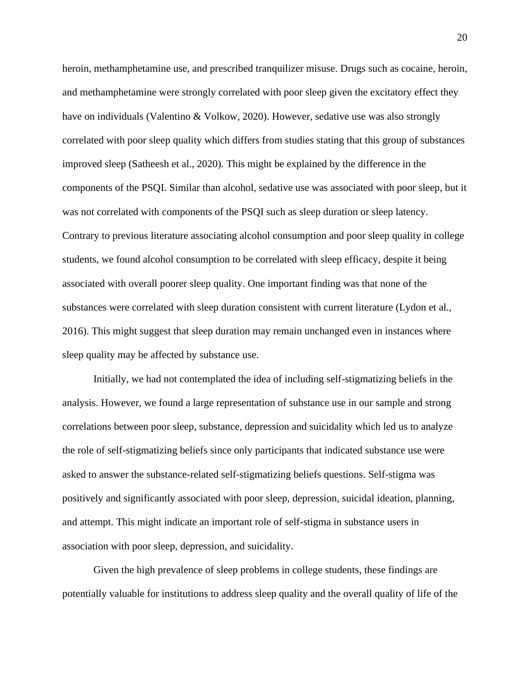heroin, methamphetamine use, and prescribed tranquilizer misuse. Drugs such as cocaine, heroin, and methamphetamine were strongly correlated with poor sleep given the excitatory effect they have on individuals (Valentino & Volkow, 2020). However, sedative use was also strongly correlated with poor sleep quality which differs from studies stating that this group of substances improved sleep (Satheesh et al., 2020). This might be explained by the difference in the components of the PSQI. Similar than alcohol, sedative use was associated with poor sleep, but it was not correlated with components of the PSQI such as sleep duration or sleep latency. Contrary to previous literature associating alcohol consumption and poor sleep quality in college students, we found alcohol consumption to be correlated with sleep efficacy, despite it being associated with overall poorer sleep quality. One important finding was that none of the substances were correlated with sleep duration consistent with current literature (Lydon et al., 2016). This might suggest that sleep duration may remain unchanged even in instances where sleep quality may be affected by substance use.

Initially, we had not contemplated the idea of including self-stigmatizing beliefs in the analysis. However, we found a large representation of substance use in our sample and strong correlations between poor sleep, substance, depression and suicidality which led us to analyze the role of self-stigmatizing beliefs since only participants that indicated substance use were asked to answer the substance-related self-stigmatizing beliefs questions. Self-stigma was positively and significantly associated with poor sleep, depression, suicidal ideation, planning, and attempt. This might indicate an important role of self-stigma in substance users in association with poor sleep, depression, and suicidality.

Given the high prevalence of sleep problems in college students, these findings are potentially valuable for institutions to address sleep quality and the overall quality of life of the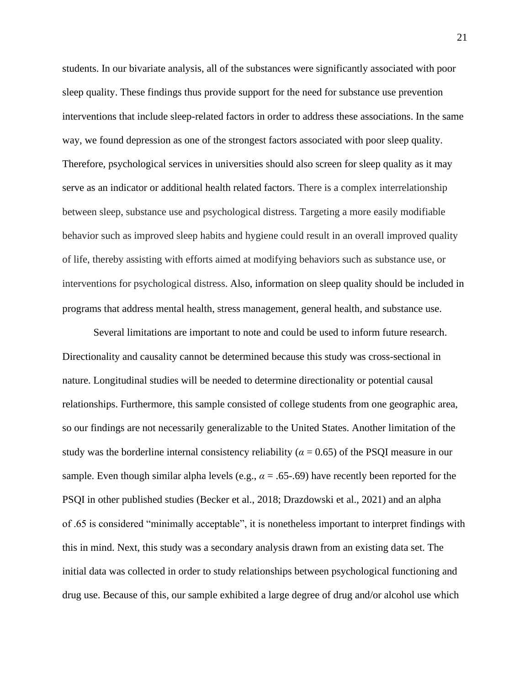students. In our bivariate analysis, all of the substances were significantly associated with poor sleep quality. These findings thus provide support for the need for substance use prevention interventions that include sleep-related factors in order to address these associations. In the same way, we found depression as one of the strongest factors associated with poor sleep quality. Therefore, psychological services in universities should also screen for sleep quality as it may serve as an indicator or additional health related factors. There is a complex interrelationship between sleep, substance use and psychological distress. Targeting a more easily modifiable behavior such as improved sleep habits and hygiene could result in an overall improved quality of life, thereby assisting with efforts aimed at modifying behaviors such as substance use, or interventions for psychological distress. Also, information on sleep quality should be included in programs that address mental health, stress management, general health, and substance use.

Several limitations are important to note and could be used to inform future research. Directionality and causality cannot be determined because this study was cross-sectional in nature. Longitudinal studies will be needed to determine directionality or potential causal relationships. Furthermore, this sample consisted of college students from one geographic area, so our findings are not necessarily generalizable to the United States. Another limitation of the study was the borderline internal consistency reliability ( $\alpha$  = 0.65) of the PSQI measure in our sample. Even though similar alpha levels (e.g.,  $\alpha = .65-.69$ ) have recently been reported for the PSQI in other published studies (Becker et al., 2018; Drazdowski et al., 2021) and an alpha of .65 is considered "minimally acceptable", it is nonetheless important to interpret findings with this in mind. Next, this study was a secondary analysis drawn from an existing data set. The initial data was collected in order to study relationships between psychological functioning and drug use. Because of this, our sample exhibited a large degree of drug and/or alcohol use which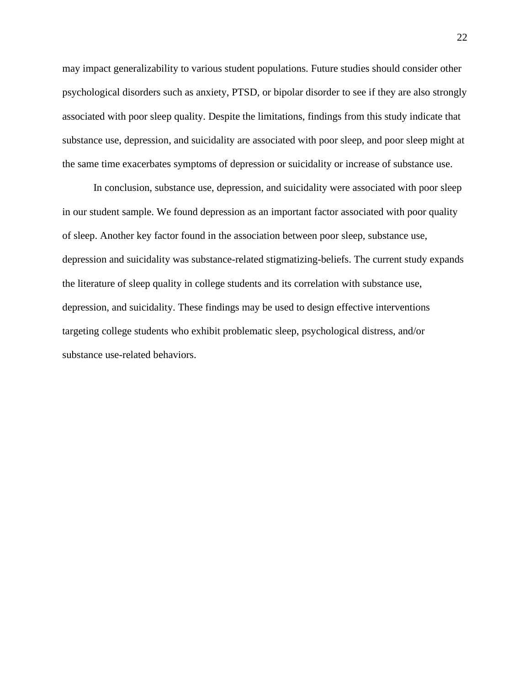may impact generalizability to various student populations. Future studies should consider other psychological disorders such as anxiety, PTSD, or bipolar disorder to see if they are also strongly associated with poor sleep quality. Despite the limitations, findings from this study indicate that substance use, depression, and suicidality are associated with poor sleep, and poor sleep might at the same time exacerbates symptoms of depression or suicidality or increase of substance use.

In conclusion, substance use, depression, and suicidality were associated with poor sleep in our student sample. We found depression as an important factor associated with poor quality of sleep. Another key factor found in the association between poor sleep, substance use, depression and suicidality was substance-related stigmatizing-beliefs. The current study expands the literature of sleep quality in college students and its correlation with substance use, depression, and suicidality. These findings may be used to design effective interventions targeting college students who exhibit problematic sleep, psychological distress, and/or substance use-related behaviors.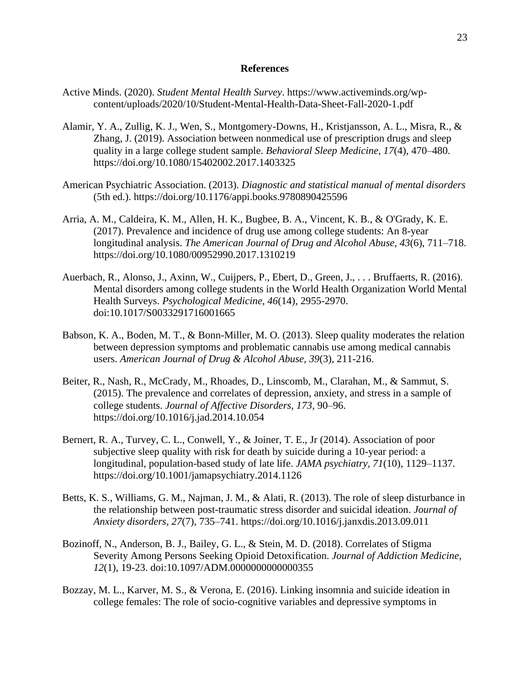#### **References**

- <span id="page-28-0"></span>Active Minds. (2020). *Student Mental Health Survey*. https://www.activeminds.org/wpcontent/uploads/2020/10/Student-Mental-Health-Data-Sheet-Fall-2020-1.pdf
- Alamir, Y. A., Zullig, K. J., Wen, S., Montgomery-Downs, H., Kristjansson, A. L., Misra, R., & Zhang, J. (2019). Association between nonmedical use of prescription drugs and sleep quality in a large college student sample. *Behavioral Sleep Medicine, 17*(4), 470–480. https://doi.org/10.1080/15402002.2017.1403325
- American Psychiatric Association. (2013). *Diagnostic and statistical manual of mental disorders* (5th ed.). https://doi.org/10.1176/appi.books.9780890425596
- Arria, A. M., Caldeira, K. M., Allen, H. K., Bugbee, B. A., Vincent, K. B., & O'Grady, K. E. (2017). Prevalence and incidence of drug use among college students: An 8-year longitudinal analysis. *The American Journal of Drug and Alcohol Abuse, 43*(6), 711–718. https://doi.org/10.1080/00952990.2017.1310219
- Auerbach, R., Alonso, J., Axinn, W., Cuijpers, P., Ebert, D., Green, J., . . . Bruffaerts, R. (2016). Mental disorders among college students in the World Health Organization World Mental Health Surveys. *Psychological Medicine, 46*(14), 2955-2970. doi:10.1017/S0033291716001665
- Babson, K. A., Boden, M. T., & Bonn-Miller, M. O. (2013). Sleep quality moderates the relation between depression symptoms and problematic cannabis use among medical cannabis users. *American Journal of Drug & Alcohol Abuse, 39*(3), 211-216.
- Beiter, R., Nash, R., McCrady, M., Rhoades, D., Linscomb, M., Clarahan, M., & Sammut, S. (2015). The prevalence and correlates of depression, anxiety, and stress in a sample of college students. *Journal of Affective Disorders, 173*, 90–96. https://doi.org/10.1016/j.jad.2014.10.054
- Bernert, R. A., Turvey, C. L., Conwell, Y., & Joiner, T. E., Jr (2014). Association of poor subjective sleep quality with risk for death by suicide during a 10-year period: a longitudinal, population-based study of late life. *JAMA psychiatry, 71*(10), 1129–1137. https://doi.org/10.1001/jamapsychiatry.2014.1126
- Betts, K. S., Williams, G. M., Najman, J. M., & Alati, R. (2013). The role of sleep disturbance in the relationship between post-traumatic stress disorder and suicidal ideation. *Journal of Anxiety disorders, 27*(7), 735–741. https://doi.org/10.1016/j.janxdis.2013.09.011
- Bozinoff, N., Anderson, B. J., Bailey, G. L., & Stein, M. D. (2018). Correlates of Stigma Severity Among Persons Seeking Opioid Detoxification. *Journal of Addiction Medicine, 12*(1), 19-23. doi:10.1097/ADM.0000000000000355
- Bozzay, M. L., Karver, M. S., & Verona, E. (2016). Linking insomnia and suicide ideation in college females: The role of socio-cognitive variables and depressive symptoms in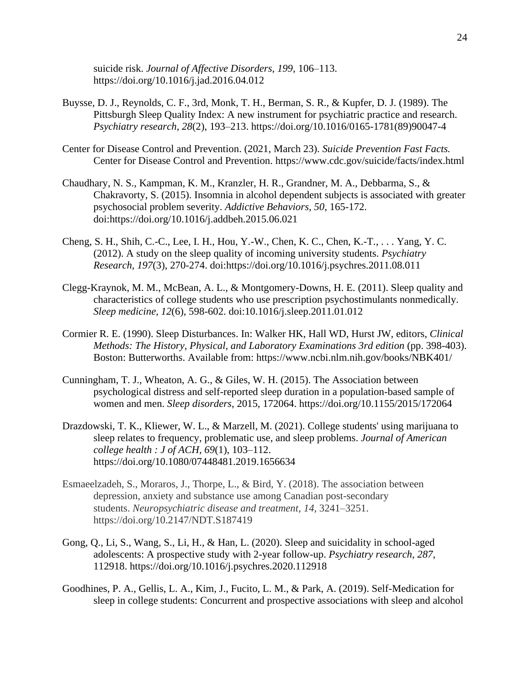suicide risk. *Journal of Affective Disorders, 199,* 106–113. https://doi.org/10.1016/j.jad.2016.04.012

- Buysse, D. J., Reynolds, C. F., 3rd, Monk, T. H., Berman, S. R., & Kupfer, D. J. (1989). The Pittsburgh Sleep Quality Index: A new instrument for psychiatric practice and research. *Psychiatry research, 28*(2), 193–213. https://doi.org/10.1016/0165-1781(89)90047-4
- Center for Disease Control and Prevention. (2021, March 23). *Suicide Prevention Fast Facts.*  Center for Disease Control and Prevention. https://www.cdc.gov/suicide/facts/index.html
- Chaudhary, N. S., Kampman, K. M., Kranzler, H. R., Grandner, M. A., Debbarma, S., & Chakravorty, S. (2015). Insomnia in alcohol dependent subjects is associated with greater psychosocial problem severity. *Addictive Behaviors, 50*, 165-172. doi:https://doi.org/10.1016/j.addbeh.2015.06.021
- Cheng, S. H., Shih, C.-C., Lee, I. H., Hou, Y.-W., Chen, K. C., Chen, K.-T., . . . Yang, Y. C. (2012). A study on the sleep quality of incoming university students. *Psychiatry Research, 197*(3), 270-274. doi:https://doi.org/10.1016/j.psychres.2011.08.011
- Clegg-Kraynok, M. M., McBean, A. L., & Montgomery-Downs, H. E. (2011). Sleep quality and characteristics of college students who use prescription psychostimulants nonmedically. *Sleep medicine, 12*(6), 598-602. doi:10.1016/j.sleep.2011.01.012
- Cormier R. E. (1990). Sleep Disturbances. In: Walker HK, Hall WD, Hurst JW, editors, *Clinical Methods: The History, Physical, and Laboratory Examinations 3rd edition* (pp. 398-403). Boston: Butterworths. Available from: https://www.ncbi.nlm.nih.gov/books/NBK401/
- Cunningham, T. J., Wheaton, A. G., & Giles, W. H. (2015). The Association between psychological distress and self-reported sleep duration in a population-based sample of women and men. *Sleep disorders*, 2015, 172064. https://doi.org/10.1155/2015/172064
- Drazdowski, T. K., Kliewer, W. L., & Marzell, M. (2021). College students' using marijuana to sleep relates to frequency, problematic use, and sleep problems. *Journal of American college health : J of ACH, 69*(1), 103–112. https://doi.org/10.1080/07448481.2019.1656634
- Esmaeelzadeh, S., Moraros, J., Thorpe, L., & Bird, Y. (2018). The association between depression, anxiety and substance use among Canadian post-secondary students. *Neuropsychiatric disease and treatment*, *14*, 3241–3251. https://doi.org/10.2147/NDT.S187419
- Gong, Q., Li, S., Wang, S., Li, H., & Han, L. (2020). Sleep and suicidality in school-aged adolescents: A prospective study with 2-year follow-up. *Psychiatry research, 287*, 112918. https://doi.org/10.1016/j.psychres.2020.112918
- Goodhines, P. A., Gellis, L. A., Kim, J., Fucito, L. M., & Park, A. (2019). Self-Medication for sleep in college students: Concurrent and prospective associations with sleep and alcohol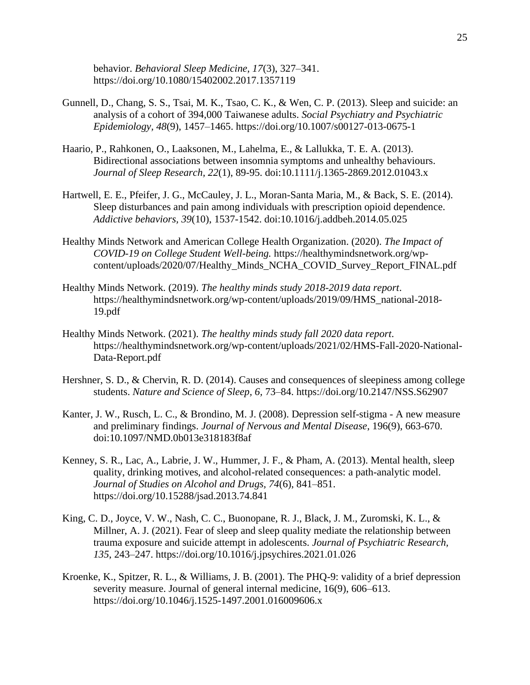behavior. *Behavioral Sleep Medicine, 17*(3), 327–341. https://doi.org/10.1080/15402002.2017.1357119

- Gunnell, D., Chang, S. S., Tsai, M. K., Tsao, C. K., & Wen, C. P. (2013). Sleep and suicide: an analysis of a cohort of 394,000 Taiwanese adults. *Social Psychiatry and Psychiatric Epidemiology, 48*(9), 1457–1465. https://doi.org/10.1007/s00127-013-0675-1
- Haario, P., Rahkonen, O., Laaksonen, M., Lahelma, E., & Lallukka, T. E. A. (2013). Bidirectional associations between insomnia symptoms and unhealthy behaviours. *Journal of Sleep Research, 22*(1), 89-95. doi:10.1111/j.1365-2869.2012.01043.x
- Hartwell, E. E., Pfeifer, J. G., McCauley, J. L., Moran-Santa Maria, M., & Back, S. E. (2014). Sleep disturbances and pain among individuals with prescription opioid dependence. *Addictive behaviors, 39*(10), 1537-1542. doi:10.1016/j.addbeh.2014.05.025
- Healthy Minds Network and American College Health Organization. (2020). *The Impact of COVID-19 on College Student Well-being.* https://healthymindsnetwork.org/wpcontent/uploads/2020/07/Healthy\_Minds\_NCHA\_COVID\_Survey\_Report\_FINAL.pdf
- Healthy Minds Network. (2019). *The healthy minds study 2018-2019 data report*. https://healthymindsnetwork.org/wp-content/uploads/2019/09/HMS\_national-2018- 19.pdf
- Healthy Minds Network. (2021). *The healthy minds study fall 2020 data report*. https://healthymindsnetwork.org/wp-content/uploads/2021/02/HMS-Fall-2020-National-Data-Report.pdf
- Hershner, S. D., & Chervin, R. D. (2014). Causes and consequences of sleepiness among college students. *Nature and Science of Sleep, 6,* 73–84. https://doi.org/10.2147/NSS.S62907
- Kanter, J. W., Rusch, L. C., & Brondino, M. J. (2008). Depression self-stigma A new measure and preliminary findings. *Journal of Nervous and Mental Disease*, 196(9), 663-670. doi:10.1097/NMD.0b013e318183f8af
- Kenney, S. R., Lac, A., Labrie, J. W., Hummer, J. F., & Pham, A. (2013). Mental health, sleep quality, drinking motives, and alcohol-related consequences: a path-analytic model. *Journal of Studies on Alcohol and Drugs, 74*(6), 841–851. https://doi.org/10.15288/jsad.2013.74.841
- King, C. D., Joyce, V. W., Nash, C. C., Buonopane, R. J., Black, J. M., Zuromski, K. L., & Millner, A. J. (2021). Fear of sleep and sleep quality mediate the relationship between trauma exposure and suicide attempt in adolescents. *Journal of Psychiatric Research, 135*, 243–247. https://doi.org/10.1016/j.jpsychires.2021.01.026
- Kroenke, K., Spitzer, R. L., & Williams, J. B. (2001). The PHQ-9: validity of a brief depression severity measure. Journal of general internal medicine, 16(9), 606–613. https://doi.org/10.1046/j.1525-1497.2001.016009606.x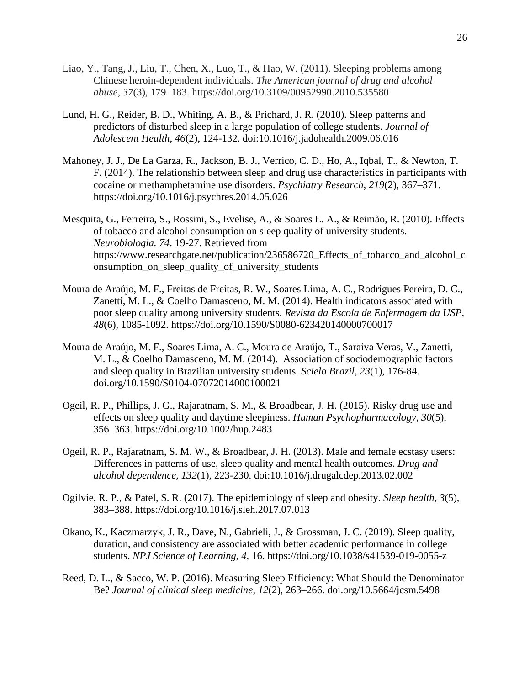- Liao, Y., Tang, J., Liu, T., Chen, X., Luo, T., & Hao, W. (2011). Sleeping problems among Chinese heroin-dependent individuals. *The American journal of drug and alcohol abuse*, *37*(3), 179–183. https://doi.org/10.3109/00952990.2010.535580
- Lund, H. G., Reider, B. D., Whiting, A. B., & Prichard, J. R. (2010). Sleep patterns and predictors of disturbed sleep in a large population of college students. *Journal of Adolescent Health, 46*(2), 124-132. doi:10.1016/j.jadohealth.2009.06.016
- Mahoney, J. J., De La Garza, R., Jackson, B. J., Verrico, C. D., Ho, A., Iqbal, T., & Newton, T. F. (2014). The relationship between sleep and drug use characteristics in participants with cocaine or methamphetamine use disorders. *Psychiatry Research, 219*(2), 367–371. https://doi.org/10.1016/j.psychres.2014.05.026
- Mesquita, G., Ferreira, S., Rossini, S., Evelise, A., & Soares E. A., & Reimão, R. (2010). Effects of tobacco and alcohol consumption on sleep quality of university students. *Neurobiologia. 74*. 19-27. Retrieved from https://www.researchgate.net/publication/236586720\_Effects\_of\_tobacco\_and\_alcohol\_c onsumption\_on\_sleep\_quality\_of\_university\_students
- Moura de Araújo, M. F., Freitas de Freitas, R. W., Soares Lima, A. C., Rodrigues Pereira, D. C., Zanetti, M. L., & Coelho Damasceno, M. M. (2014). Health indicators associated with poor sleep quality among university students. *Revista da Escola de Enfermagem da USP, 48*(6), 1085-1092. https://doi.org/10.1590/S0080-623420140000700017
- Moura de Araújo, M. F., Soares Lima, A. C., Moura de Araújo, T., Saraiva Veras, V., Zanetti, M. L., & Coelho Damasceno, M. M. (2014). Association of sociodemographic factors and sleep quality in Brazilian university students. *Scielo Brazil, 23*(1), 176-84. doi.org/10.1590/S0104-07072014000100021
- Ogeil, R. P., Phillips, J. G., Rajaratnam, S. M., & Broadbear, J. H. (2015). Risky drug use and effects on sleep quality and daytime sleepiness. *Human Psychopharmacology, 30*(5), 356–363. https://doi.org/10.1002/hup.2483
- Ogeil, R. P., Rajaratnam, S. M. W., & Broadbear, J. H. (2013). Male and female ecstasy users: Differences in patterns of use, sleep quality and mental health outcomes. *Drug and alcohol dependence, 132*(1), 223-230. doi:10.1016/j.drugalcdep.2013.02.002
- Ogilvie, R. P., & Patel, S. R. (2017). The epidemiology of sleep and obesity. *Sleep health, 3*(5), 383–388. https://doi.org/10.1016/j.sleh.2017.07.013
- Okano, K., Kaczmarzyk, J. R., Dave, N., Gabrieli, J., & Grossman, J. C. (2019). Sleep quality, duration, and consistency are associated with better academic performance in college students. *NPJ Science of Learning, 4,* 16. https://doi.org/10.1038/s41539-019-0055-z
- Reed, D. L., & Sacco, W. P. (2016). Measuring Sleep Efficiency: What Should the Denominator Be? *Journal of clinical sleep medicine*, *12*(2), 263–266. doi.org/10.5664/jcsm.5498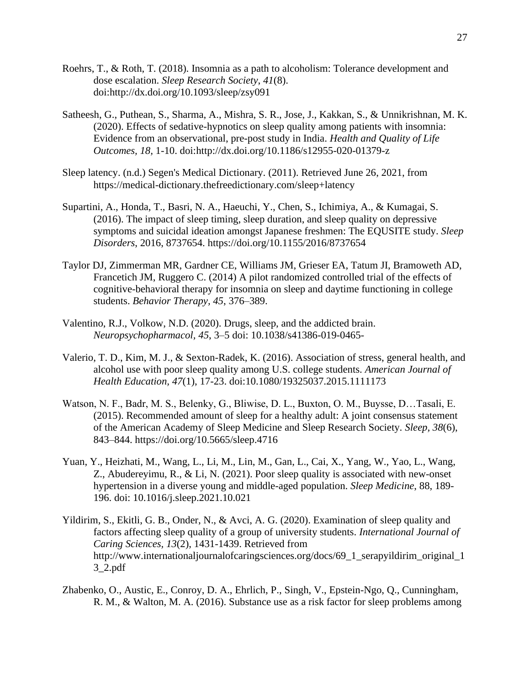- Roehrs, T., & Roth, T. (2018). Insomnia as a path to alcoholism: Tolerance development and dose escalation. *Sleep Research Society*, *41*(8). doi:http://dx.doi.org/10.1093/sleep/zsy091
- Satheesh, G., Puthean, S., Sharma, A., Mishra, S. R., Jose, J., Kakkan, S., & Unnikrishnan, M. K. (2020). Effects of sedative-hypnotics on sleep quality among patients with insomnia: Evidence from an observational, pre-post study in India. *Health and Quality of Life Outcomes, 18,* 1-10. doi:http://dx.doi.org/10.1186/s12955-020-01379-z
- Sleep latency. (n.d.) Segen's Medical Dictionary. (2011). Retrieved June 26, 2021, from https://medical-dictionary.thefreedictionary.com/sleep+latency
- Supartini, A., Honda, T., Basri, N. A., Haeuchi, Y., Chen, S., Ichimiya, A., & Kumagai, S. (2016). The impact of sleep timing, sleep duration, and sleep quality on depressive symptoms and suicidal ideation amongst Japanese freshmen: The EQUSITE study. *Sleep Disorders*, 2016, 8737654. https://doi.org/10.1155/2016/8737654
- Taylor DJ, Zimmerman MR, Gardner CE, Williams JM, Grieser EA, Tatum JI, Bramoweth AD, Francetich JM, Ruggero C. (2014) A pilot randomized controlled trial of the effects of cognitive-behavioral therapy for insomnia on sleep and daytime functioning in college students. *Behavior Therapy, 45*, 376–389.
- Valentino, R.J., Volkow, N.D. (2020). Drugs, sleep, and the addicted brain. *Neuropsychopharmacol, 45*, 3–5 doi: 10.1038/s41386-019-0465-
- Valerio, T. D., Kim, M. J., & Sexton-Radek, K. (2016). Association of stress, general health, and alcohol use with poor sleep quality among U.S. college students. *American Journal of Health Education, 47*(1), 17-23. doi:10.1080/19325037.2015.1111173
- Watson, N. F., Badr, M. S., Belenky, G., Bliwise, D. L., Buxton, O. M., Buysse, D…Tasali, E. (2015). Recommended amount of sleep for a healthy adult: A joint consensus statement of the American Academy of Sleep Medicine and Sleep Research Society. *Sleep, 38*(6), 843–844. https://doi.org/10.5665/sleep.4716
- Yuan, Y., Heizhati, M., Wang, L., Li, M., Lin, M., Gan, L., Cai, X., Yang, W., Yao, L., Wang, Z., Abudereyimu, R., & Li, N. (2021). Poor sleep quality is associated with new-onset hypertension in a diverse young and middle-aged population. *Sleep Medicine*, 88, 189- 196. doi: 10.1016/j.sleep.2021.10.021
- Yildirim, S., Ekitli, G. B., Onder, N., & Avci, A. G. (2020). Examination of sleep quality and factors affecting sleep quality of a group of university students. *International Journal of Caring Sciences, 13*(2), 1431-1439. Retrieved from http://www.internationaljournalofcaringsciences.org/docs/69\_1\_serapyildirim\_original\_1 3\_2.pdf
- Zhabenko, O., Austic, E., Conroy, D. A., Ehrlich, P., Singh, V., Epstein-Ngo, Q., Cunningham, R. M., & Walton, M. A. (2016). Substance use as a risk factor for sleep problems among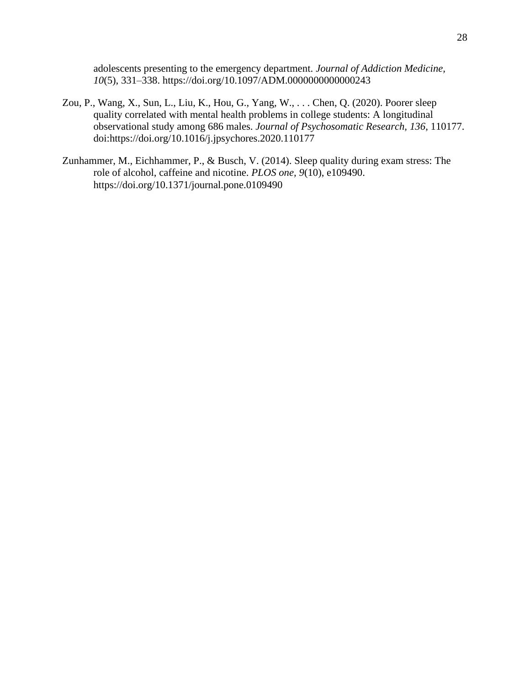adolescents presenting to the emergency department. *Journal of Addiction Medicine, 10*(5), 331–338. https://doi.org/10.1097/ADM.0000000000000243

- Zou, P., Wang, X., Sun, L., Liu, K., Hou, G., Yang, W., . . . Chen, Q. (2020). Poorer sleep quality correlated with mental health problems in college students: A longitudinal observational study among 686 males. *Journal of Psychosomatic Research, 136*, 110177. doi:https://doi.org/10.1016/j.jpsychores.2020.110177
- Zunhammer, M., Eichhammer, P., & Busch, V. (2014). Sleep quality during exam stress: The role of alcohol, caffeine and nicotine. *PLOS one, 9*(10), e109490. https://doi.org/10.1371/journal.pone.0109490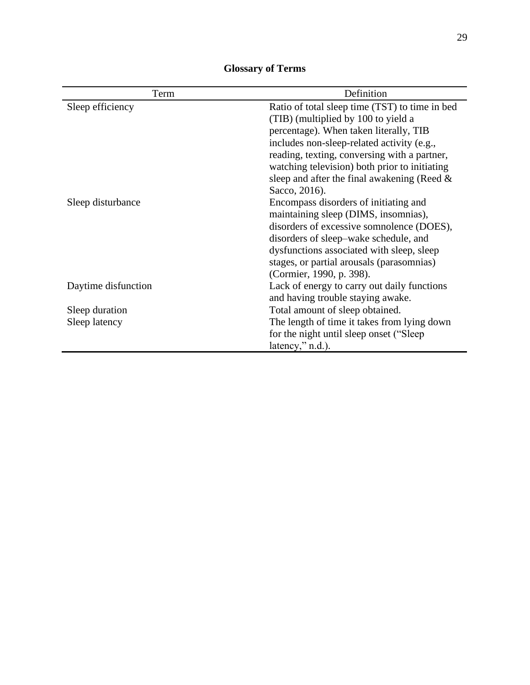<span id="page-34-0"></span>

| Term                | Definition                                     |  |  |  |  |
|---------------------|------------------------------------------------|--|--|--|--|
| Sleep efficiency    | Ratio of total sleep time (TST) to time in bed |  |  |  |  |
|                     | (TIB) (multiplied by 100 to yield a            |  |  |  |  |
|                     | percentage). When taken literally, TIB         |  |  |  |  |
|                     | includes non-sleep-related activity (e.g.,     |  |  |  |  |
|                     | reading, texting, conversing with a partner,   |  |  |  |  |
|                     | watching television) both prior to initiating  |  |  |  |  |
|                     | sleep and after the final awakening (Reed $\&$ |  |  |  |  |
|                     | Sacco, 2016).                                  |  |  |  |  |
| Sleep disturbance   | Encompass disorders of initiating and          |  |  |  |  |
|                     | maintaining sleep (DIMS, insomnias),           |  |  |  |  |
|                     | disorders of excessive somnolence (DOES),      |  |  |  |  |
|                     | disorders of sleep-wake schedule, and          |  |  |  |  |
|                     | dysfunctions associated with sleep, sleep      |  |  |  |  |
|                     | stages, or partial arousals (parasomnias)      |  |  |  |  |
|                     | (Cormier, 1990, p. 398).                       |  |  |  |  |
| Daytime disfunction | Lack of energy to carry out daily functions    |  |  |  |  |
|                     | and having trouble staying awake.              |  |  |  |  |
| Sleep duration      | Total amount of sleep obtained.                |  |  |  |  |
| Sleep latency       | The length of time it takes from lying down    |  |  |  |  |
|                     | for the night until sleep onset ("Sleep"       |  |  |  |  |
|                     | latency," n.d.).                               |  |  |  |  |

## **Glossary of Terms**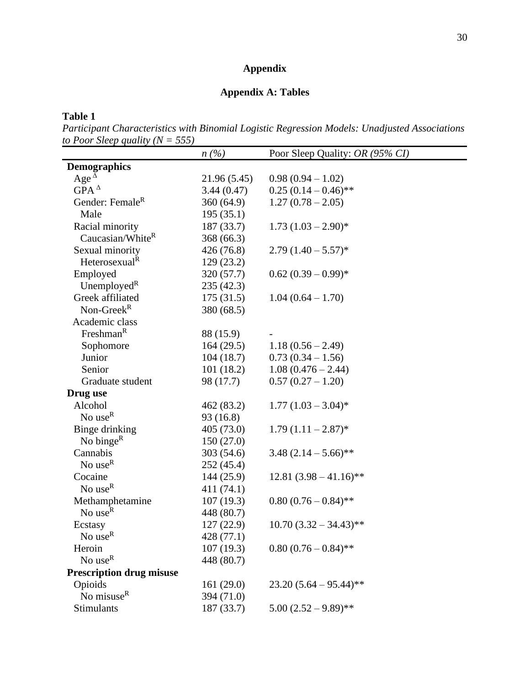## **Appendix**

## **Appendix A: Tables**

<span id="page-35-1"></span><span id="page-35-0"></span>**Table 1**

*Participant Characteristics with Binomial Logistic Regression Models: Unadjusted Associations to Poor Sleep quality (N = 555)*  $\overline{\phantom{0}}$ 

|                                 | n(%)         | Poor Sleep Quality: OR (95% CI) |
|---------------------------------|--------------|---------------------------------|
| <b>Demographics</b>             |              |                                 |
| Age $^{\Delta}$                 | 21.96 (5.45) | $0.98(0.94-1.02)$               |
| $GPA^{\Delta}$                  | 3.44(0.47)   | $0.25(0.14-0.46)$ **            |
| Gender: Female <sup>R</sup>     | 360(64.9)    | $1.27(0.78-2.05)$               |
| Male                            | 195(35.1)    |                                 |
| Racial minority                 | 187 (33.7)   | $1.73 (1.03 - 2.90)^*$          |
| Caucasian/WhiteR                | 368 (66.3)   |                                 |
| Sexual minority                 | 426 (76.8)   | $2.79(1.40-5.57)$ *             |
| Heterosexual <sup>R</sup>       | 129(23.2)    |                                 |
| Employed                        | 320 (57.7)   | $0.62 (0.39 - 0.99)^*$          |
| Unemployed <sup>R</sup>         | 235 (42.3)   |                                 |
| Greek affiliated                | 175(31.5)    | $1.04(0.64 - 1.70)$             |
| Non-Greek $R$                   | 380 (68.5)   |                                 |
| Academic class                  |              |                                 |
| Freshman <sup>R</sup>           | 88 (15.9)    |                                 |
| Sophomore                       | 164(29.5)    | $1.18(0.56 - 2.49)$             |
| Junior                          | 104(18.7)    | $0.73(0.34-1.56)$               |
| Senior                          | 101(18.2)    | $1.08(0.476 - 2.44)$            |
| Graduate student                | 98 (17.7)    | $0.57(0.27-1.20)$               |
| Drug use                        |              |                                 |
| Alcohol                         | 462 (83.2)   | $1.77 (1.03 - 3.04)^*$          |
| No use $R$                      | 93 (16.8)    |                                 |
| Binge drinking                  | 405 (73.0)   | $1.79(1.11-2.87)$ *             |
| No bing $e^R$                   | 150(27.0)    |                                 |
| Cannabis                        | 303 (54.6)   | $3.48(2.14-5.66)$ **            |
| No use $R$                      | 252 (45.4)   |                                 |
| Cocaine                         | 144(25.9)    | $12.81 (3.98 - 41.16)$ **       |
| No $useR$                       | 411 (74.1)   |                                 |
| Methamphetamine                 | 107(19.3)    | $0.80(0.76-0.84)$ **            |
| No use $R$                      | 448 (80.7)   |                                 |
| Ecstasy                         | 127 (22.9)   | $10.70(3.32 - 34.43)$ **        |
| No $\sf{use}^R$                 | 428 (77.1)   |                                 |
| Heroin                          | 107(19.3)    | $0.80(0.76-0.84)$ **            |
| No use $R$                      | 448 (80.7)   |                                 |
| <b>Prescription drug misuse</b> |              |                                 |
| Opioids                         | 161(29.0)    | $23.20(5.64-95.44)$ **          |
| No misuse <sup>R</sup>          | 394 (71.0)   |                                 |
| Stimulants                      | 187 (33.7)   | $5.00(2.52 - 9.89)$ **          |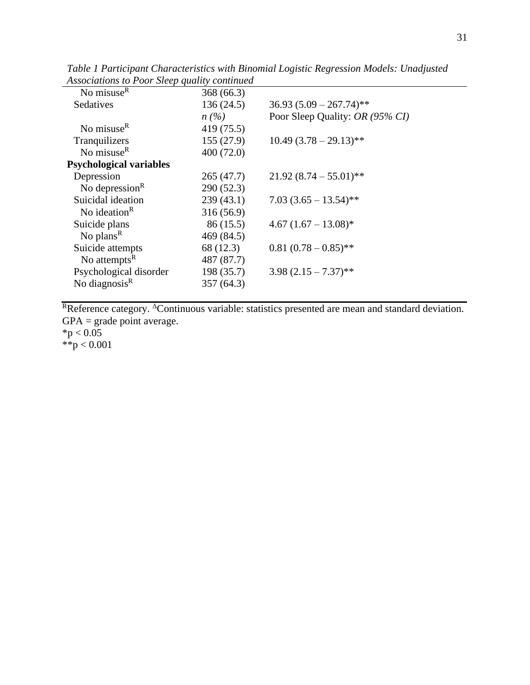| conventions to I con steep quattry, community |            |                                 |
|-----------------------------------------------|------------|---------------------------------|
| No misuse $R$                                 | 368(66.3)  |                                 |
| Sedatives                                     | 136(24.5)  | $36.93 (5.09 - 267.74)$ **      |
|                                               | $n(\%)$    | Poor Sleep Quality: OR (95% CI) |
| No misuse <sup>R</sup>                        | 419 (75.5) |                                 |
| Tranquilizers                                 | 155(27.9)  | $10.49(3.78-29.13)$ **          |
| No misuse $R$                                 | 400(72.0)  |                                 |
| <b>Psychological variables</b>                |            |                                 |
| Depression                                    | 265 (47.7) | $21.92(8.74-55.01)$ **          |
| No depression <sup>R</sup>                    | 290 (52.3) |                                 |
| Suicidal ideation                             | 239(43.1)  | $7.03(3.65-13.54)$ **           |
| No ideation <sup>R</sup>                      | 316 (56.9) |                                 |
| Suicide plans                                 | 86 (15.5)  | $4.67 (1.67 - 13.08)^*$         |
| No plans <sup>R</sup>                         | 469 (84.5) |                                 |
| Suicide attempts                              | 68 (12.3)  | $0.81(0.78-0.85)$ **            |
| No attempts <sup>R</sup>                      | 487 (87.7) |                                 |
| Psychological disorder                        | 198 (35.7) | $3.98(2.15 - 7.37)$ **          |
| No diagnosis $R$                              | 357(64.3)  |                                 |
|                                               |            |                                 |

*Table 1 Participant Characteristics with Binomial Logistic Regression Models: Unadjusted Associations to Poor Sleep quality continued*

Reference category. <sup>Δ</sup>Continuous variable: statistics presented are mean and standard deviation.  $GPA = grade point average.$  $*p < 0.05$ 

\*\*p < 0.001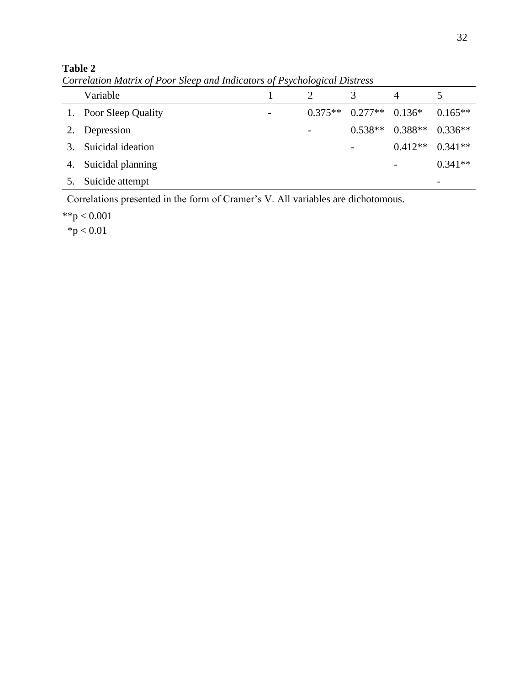## **Table 2**

*Correlation Matrix of Poor Sleep and Indicators of Psychological Distress*

|    | Variable              |                          |           |           |           |                     |
|----|-----------------------|--------------------------|-----------|-----------|-----------|---------------------|
|    | 1. Poor Sleep Quality | $\overline{\phantom{0}}$ | $0.375**$ | $0.277**$ | $0.136*$  | $0.165**$           |
|    | 2. Depression         |                          | -         | $0.538**$ | $0.388**$ | $0.336**$           |
|    | Suicidal ideation     |                          |           |           |           | $0.412**$ $0.341**$ |
| 4. | Suicidal planning     |                          |           |           |           | $0.341**$           |
|    | Suicide attempt       |                          |           |           |           |                     |

Correlations presented in the form of Cramer's V. All variables are dichotomous.

 $*$  $p < 0.001$ 

 $*p < 0.01$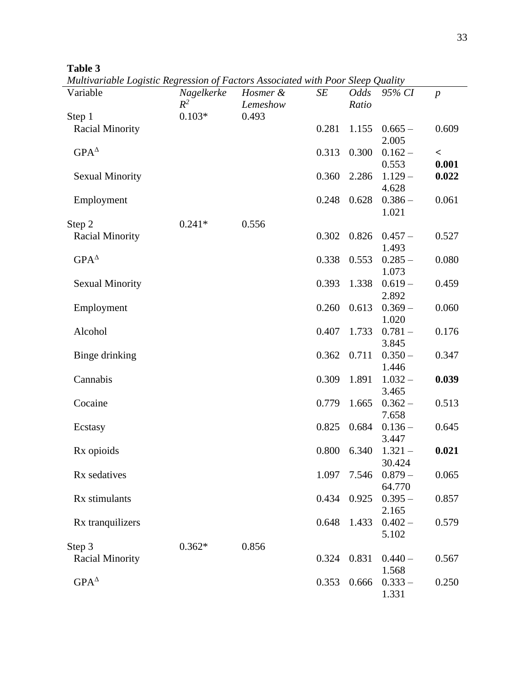| H<br>n<br>л<br>n |  |
|------------------|--|
|------------------|--|

*Multivariable Logistic Regression of Factors Associated with Poor Sleep Quality*

| ништиналс шумис нехножен орт астонутные тип тоот этер отату |            |          |       |             |           |                  |
|-------------------------------------------------------------|------------|----------|-------|-------------|-----------|------------------|
| Variable                                                    | Nagelkerke | Hosmer & | SE    | Odds        | 95% CI    | $\boldsymbol{p}$ |
|                                                             | $R^2$      | Lemeshow |       | Ratio       |           |                  |
| Step 1                                                      | $0.103*$   | 0.493    |       |             |           |                  |
| <b>Racial Minority</b>                                      |            |          | 0.281 | 1.155       | $0.665 -$ | 0.609            |
|                                                             |            |          |       |             | 2.005     |                  |
| $GPA^{\Delta}$                                              |            |          | 0.313 | 0.300       | $0.162 -$ | $\,<\,$          |
|                                                             |            |          |       |             | 0.553     | 0.001            |
| <b>Sexual Minority</b>                                      |            |          | 0.360 | 2.286       | $1.129 -$ | 0.022            |
|                                                             |            |          |       |             | 4.628     |                  |
| Employment                                                  |            |          | 0.248 | 0.628       | $0.386 -$ | 0.061            |
|                                                             |            |          |       |             | 1.021     |                  |
| Step 2                                                      | $0.241*$   | 0.556    |       |             |           |                  |
| <b>Racial Minority</b>                                      |            |          | 0.302 | 0.826       | $0.457 -$ | 0.527            |
|                                                             |            |          |       |             | 1.493     |                  |
| $GPA^{\Delta}$                                              |            |          | 0.338 | 0.553       | $0.285 -$ | 0.080            |
|                                                             |            |          |       |             | 1.073     |                  |
| <b>Sexual Minority</b>                                      |            |          | 0.393 | 1.338       | $0.619 -$ | 0.459            |
|                                                             |            |          |       |             | 2.892     |                  |
|                                                             |            |          |       | 0.613       |           | 0.060            |
| Employment                                                  |            |          | 0.260 |             | $0.369 -$ |                  |
|                                                             |            |          |       |             | 1.020     |                  |
| Alcohol                                                     |            |          | 0.407 | 1.733       | $0.781 -$ | 0.176            |
|                                                             |            |          |       |             | 3.845     |                  |
| Binge drinking                                              |            |          | 0.362 | 0.711       | $0.350 -$ | 0.347            |
|                                                             |            |          |       |             | 1.446     |                  |
| Cannabis                                                    |            |          | 0.309 | 1.891       | $1.032 -$ | 0.039            |
|                                                             |            |          |       |             | 3.465     |                  |
| Cocaine                                                     |            |          | 0.779 | 1.665       | $0.362 -$ | 0.513            |
|                                                             |            |          |       |             | 7.658     |                  |
| Ecstasy                                                     |            |          | 0.825 | 0.684       | $0.136 -$ | 0.645            |
|                                                             |            |          |       |             | 3.447     |                  |
| Rx opioids                                                  |            |          | 0.800 | 6.340       | $1.321 -$ | 0.021            |
|                                                             |            |          |       |             | 30.424    |                  |
| Rx sedatives                                                |            |          |       | 1.097 7.546 | $0.879-$  | 0.065            |
|                                                             |            |          |       |             | 64.770    |                  |
| Rx stimulants                                               |            |          | 0.434 | 0.925       | $0.395 -$ | 0.857            |
|                                                             |            |          |       |             | 2.165     |                  |
| Rx tranquilizers                                            |            |          | 0.648 | 1.433       | $0.402 -$ | 0.579            |
|                                                             |            |          |       |             | 5.102     |                  |
| Step 3                                                      | $0.362*$   | 0.856    |       |             |           |                  |
| Racial Minority                                             |            |          | 0.324 | 0.831       | $0.440 -$ | 0.567            |
|                                                             |            |          |       |             | 1.568     |                  |
| $GPA^{\Delta}$                                              |            |          |       |             |           |                  |
|                                                             |            |          | 0.353 | 0.666       | $0.333 -$ | 0.250            |
|                                                             |            |          |       |             | 1.331     |                  |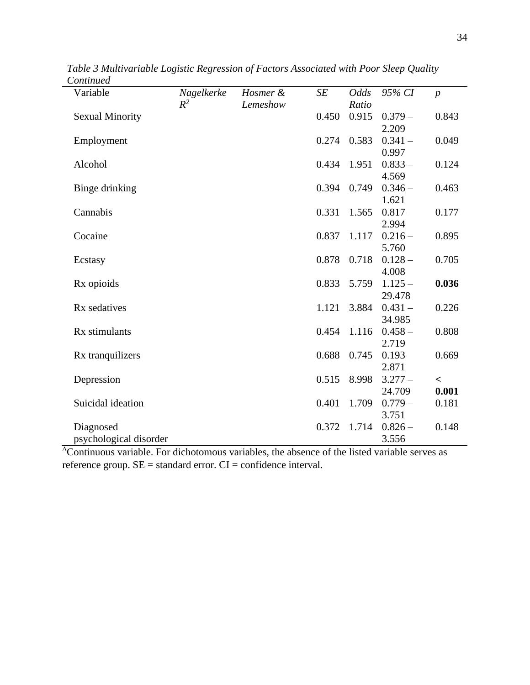| Variable               | Nagelkerke | Hosmer & | <b>SE</b> | <b>Odds</b> | 95% CI    | $\boldsymbol{p}$ |
|------------------------|------------|----------|-----------|-------------|-----------|------------------|
|                        | $R^2$      | Lemeshow |           | Ratio       |           |                  |
| <b>Sexual Minority</b> |            |          | 0.450     | 0.915       | $0.379 -$ | 0.843            |
|                        |            |          |           |             | 2.209     |                  |
| Employment             |            |          | 0.274     | 0.583       | $0.341 -$ | 0.049            |
|                        |            |          |           |             | 0.997     |                  |
| Alcohol                |            |          | 0.434     | 1.951       | $0.833 -$ | 0.124            |
|                        |            |          |           |             | 4.569     |                  |
| Binge drinking         |            |          | 0.394     | 0.749       | $0.346 -$ | 0.463            |
|                        |            |          |           |             | 1.621     |                  |
| Cannabis               |            |          | 0.331     | 1.565       | $0.817 -$ | 0.177            |
|                        |            |          |           |             | 2.994     |                  |
| Cocaine                |            |          | 0.837     | 1.117       | $0.216 -$ | 0.895            |
|                        |            |          |           |             |           |                  |
|                        |            |          |           |             | 5.760     |                  |
| Ecstasy                |            |          | 0.878     | 0.718       | $0.128 -$ | 0.705            |
|                        |            |          |           |             | 4.008     |                  |
| Rx opioids             |            |          | 0.833     | 5.759       | $1.125 -$ | 0.036            |
|                        |            |          |           |             | 29.478    |                  |
| Rx sedatives           |            |          | 1.121     | 3.884       | $0.431 -$ | 0.226            |
|                        |            |          |           |             | 34.985    |                  |
| Rx stimulants          |            |          | 0.454     | 1.116       | $0.458 -$ | 0.808            |
|                        |            |          |           |             | 2.719     |                  |
| Rx tranquilizers       |            |          | 0.688     | 0.745       | $0.193 -$ | 0.669            |
|                        |            |          |           |             | 2.871     |                  |
| Depression             |            |          | 0.515     | 8.998       | $3.277 -$ | $\,<\,$          |
|                        |            |          |           |             | 24.709    | 0.001            |
| Suicidal ideation      |            |          | 0.401     | 1.709       | $0.779-$  | 0.181            |
|                        |            |          |           |             | 3.751     |                  |
|                        |            |          | 0.372     |             |           |                  |
| Diagnosed              |            |          |           | 1.714       | $0.826 -$ | 0.148            |
| psychological disorder |            |          |           |             | 3.556     |                  |

*Table 3 Multivariable Logistic Regression of Factors Associated with Poor Sleep Quality Continued*

<sup>Δ</sup>Continuous variable. For dichotomous variables, the absence of the listed variable serves as reference group. SE = standard error. CI = confidence interval.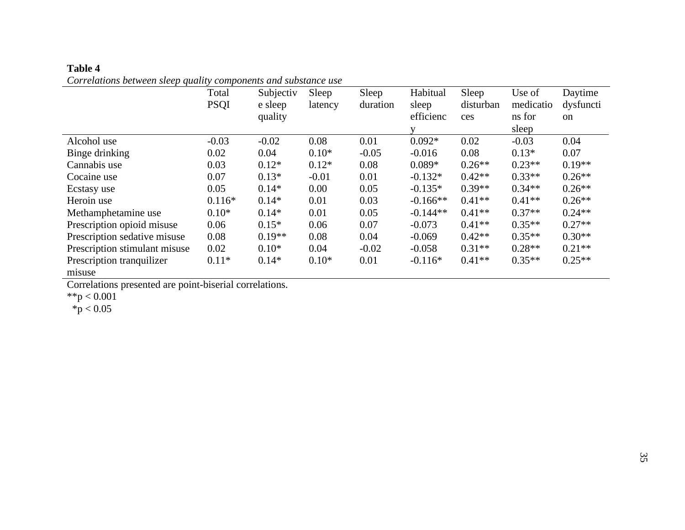| Table 4                                                         |
|-----------------------------------------------------------------|
| Correlations between sleep quality components and substance use |

|                                     | Total<br><b>PSQI</b> | Subjectiv<br>e sleep<br>quality | Sleep<br>latency | Sleep<br>duration | Habitual<br>sleep<br>efficienc | Sleep<br>disturban<br>ces | Use of<br>medicatio<br>ns for | Daytime<br>dysfuncti<br><sub>on</sub> |
|-------------------------------------|----------------------|---------------------------------|------------------|-------------------|--------------------------------|---------------------------|-------------------------------|---------------------------------------|
|                                     |                      |                                 |                  |                   |                                |                           | sleep                         |                                       |
| Alcohol use                         | $-0.03$              | $-0.02$                         | 0.08             | 0.01              | $0.092*$                       | 0.02                      | $-0.03$                       | 0.04                                  |
| Binge drinking                      | 0.02                 | 0.04                            | $0.10*$          | $-0.05$           | $-0.016$                       | 0.08                      | $0.13*$                       | 0.07                                  |
| Cannabis use                        | 0.03                 | $0.12*$                         | $0.12*$          | 0.08              | $0.089*$                       | $0.26**$                  | $0.23**$                      | $0.19**$                              |
| Cocaine use                         | 0.07                 | $0.13*$                         | $-0.01$          | 0.01              | $-0.132*$                      | $0.42**$                  | $0.33**$                      | $0.26**$                              |
| Ecstasy use                         | 0.05                 | $0.14*$                         | 0.00             | 0.05              | $-0.135*$                      | $0.39**$                  | $0.34**$                      | $0.26**$                              |
| Heroin use                          | $0.116*$             | $0.14*$                         | 0.01             | 0.03              | $-0.166**$                     | $0.41**$                  | $0.41**$                      | $0.26**$                              |
| Methamphetamine use                 | $0.10*$              | $0.14*$                         | 0.01             | 0.05              | $-0.144**$                     | $0.41**$                  | $0.37**$                      | $0.24**$                              |
| Prescription opioid misuse          | 0.06                 | $0.15*$                         | 0.06             | 0.07              | $-0.073$                       | $0.41**$                  | $0.35**$                      | $0.27**$                              |
| Prescription sedative misuse        | 0.08                 | $0.19**$                        | 0.08             | 0.04              | $-0.069$                       | $0.42**$                  | $0.35**$                      | $0.30**$                              |
| Prescription stimulant misuse       | 0.02                 | $0.10*$                         | 0.04             | $-0.02$           | $-0.058$                       | $0.31**$                  | $0.28**$                      | $0.21**$                              |
| Prescription tranquilizer<br>misuse | $0.11*$              | $0.14*$                         | $0.10*$          | 0.01              | $-0.116*$                      | $0.41**$                  | $0.35**$                      | $0.25**$                              |

Correlations presented are point-biserial correlations.

\*\*p  $< 0.001$ 

 $*$ p < 0.05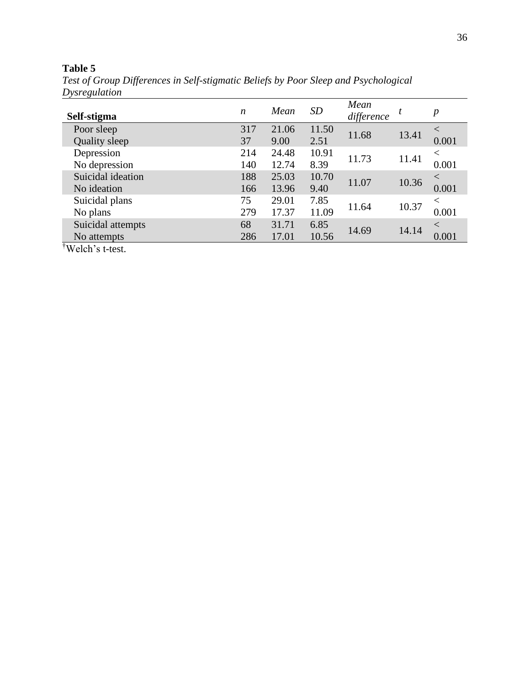## **Table 5**

*Test of Group Differences in Self-stigmatic Beliefs by Poor Sleep and Psychological Dysregulation* 

| Self-stigma                  | n   | Mean  | <b>SD</b> | Mean<br>difference | t     | $\boldsymbol{p}$ |
|------------------------------|-----|-------|-----------|--------------------|-------|------------------|
| Poor sleep                   | 317 | 21.06 | 11.50     | 11.68              | 13.41 | $\lt$            |
| Quality sleep                | 37  | 9.00  | 2.51      |                    |       | 0.001            |
| Depression                   | 214 | 24.48 | 10.91     | 11.73              |       | $\,<\,$          |
| No depression                | 140 | 12.74 | 8.39      |                    | 11.41 | 0.001            |
| Suicidal ideation            | 188 | 25.03 | 10.70     | 11.07              | 10.36 | $\,<\,$          |
| No ideation                  | 166 | 13.96 | 9.40      |                    |       | 0.001            |
| Suicidal plans               | 75  | 29.01 | 7.85      |                    |       | $\,<\,$          |
| No plans                     | 279 | 17.37 | 11.09     | 11.64              | 10.37 | 0.001            |
| Suicidal attempts            | 68  | 31.71 | 6.85      |                    |       | $\,<\,$          |
| No attempts                  | 286 | 17.01 | 10.56     | 14.69              | 14.14 | 0.001            |
| <sup>†</sup> Welch's t-test. |     |       |           |                    |       |                  |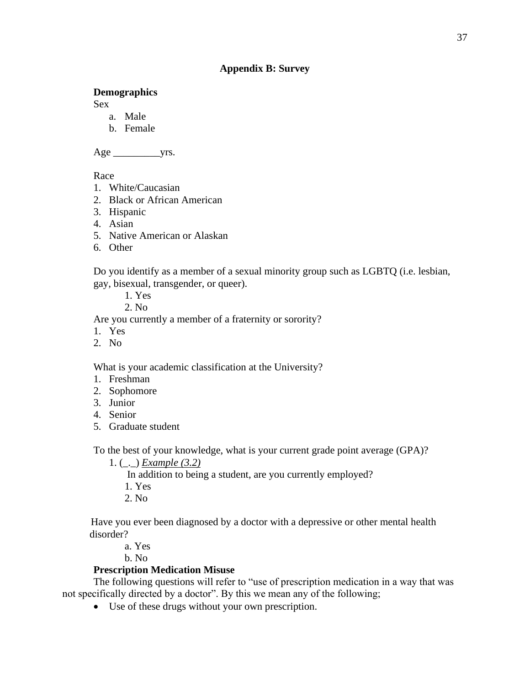### **Appendix B: Survey**

### <span id="page-42-0"></span>**Demographics**

Sex

- a. Male
- b. Female

Age \_\_\_\_\_\_\_\_\_yrs.

Race

- 1. White/Caucasian
- 2. Black or African American
- 3. Hispanic
- 4. Asian
- 5. Native American or Alaskan
- 6. Other

Do you identify as a member of a sexual minority group such as LGBTQ (i.e. lesbian, gay, bisexual, transgender, or queer).

1. Yes

2. No

Are you currently a member of a fraternity or sorority?

- 1. Yes
- 2. No

What is your academic classification at the University?

- 1. Freshman
- 2. Sophomore
- 3. Junior
- 4. Senior
- 5. Graduate student

To the best of your knowledge, what is your current grade point average (GPA)?

1. (\_.\_) *Example (3.2)*

In addition to being a student, are you currently employed?

- 1. Yes
- 2. No

 Have you ever been diagnosed by a doctor with a depressive or other mental health disorder?

a. Yes

b. No

### **Prescription Medication Misuse**

The following questions will refer to "use of prescription medication in a way that was not specifically directed by a doctor". By this we mean any of the following;

• Use of these drugs without your own prescription.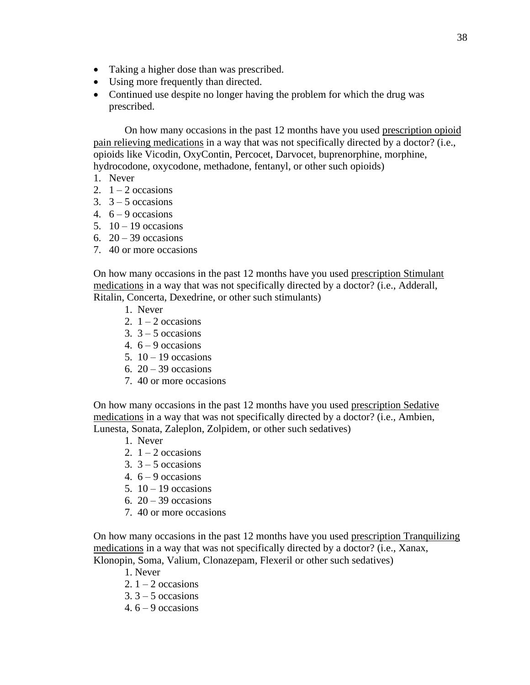- Taking a higher dose than was prescribed.
- Using more frequently than directed.
- Continued use despite no longer having the problem for which the drug was prescribed.

On how many occasions in the past 12 months have you used prescription opioid pain relieving medications in a way that was not specifically directed by a doctor? (i.e., opioids like Vicodin, OxyContin, Percocet, Darvocet, buprenorphine, morphine, hydrocodone, oxycodone, methadone, fentanyl, or other such opioids)

- 1. Never
- 2.  $1 2$  occasions
- 3.  $3 5$  occasions
- 4.  $6 9$  occasions
- 5.  $10 19$  occasions
- 6.  $20 39$  occasions
- 7. 40 or more occasions

On how many occasions in the past 12 months have you used prescription Stimulant medications in a way that was not specifically directed by a doctor? (i.e., Adderall, Ritalin, Concerta, Dexedrine, or other such stimulants)

- 1. Never
- 2.  $1 2$  occasions
- 3.  $3 5$  occasions
- 4.  $6 9$  occasions
- 5.  $10 19$  occasions
- 6.  $20 39$  occasions
- 7. 40 or more occasions

On how many occasions in the past 12 months have you used prescription Sedative medications in a way that was not specifically directed by a doctor? (i.e., Ambien, Lunesta, Sonata, Zaleplon, Zolpidem, or other such sedatives)

- 1. Never
- 2.  $1 2$  occasions
- 3.  $3 5$  occasions
- 4.  $6 9$  occasions
- 5.  $10 19$  occasions
- 6.  $20 39$  occasions
- 7. 40 or more occasions

On how many occasions in the past 12 months have you used prescription Tranquilizing medications in a way that was not specifically directed by a doctor? (i.e., Xanax, Klonopin, Soma, Valium, Clonazepam, Flexeril or other such sedatives)

- 1. Never
- 2.  $1 2$  occasions
- $3.3 5$  occasions
- 4.  $6 9$  occasions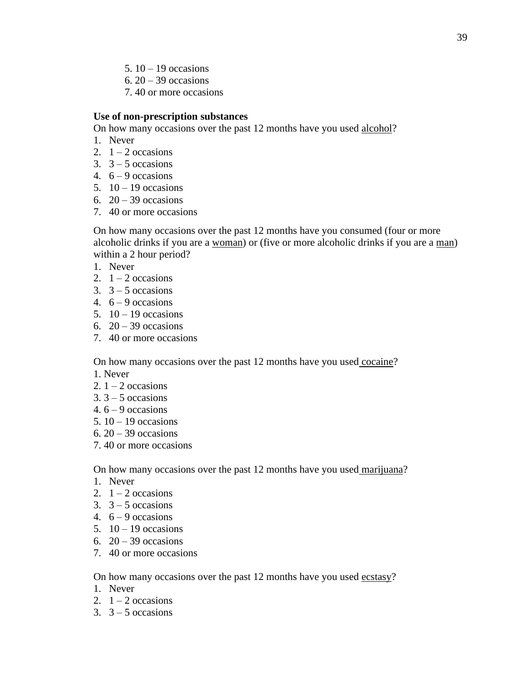- 5.  $10 19$  occasions
- 6.  $20 39$  occasions
- 7. 40 or more occasions

#### **Use of non-prescription substances**

On how many occasions over the past 12 months have you used alcohol?

- 1. Never
- 2.  $1 2$  occasions
- 3.  $3 5$  occasions
- 4.  $6 9$  occasions
- 5.  $10 19$  occasions
- 6.  $20 39$  occasions
- 7. 40 or more occasions

 On how many occasions over the past 12 months have you consumed (four or more alcoholic drinks if you are a woman) or (five or more alcoholic drinks if you are a man) within a 2 hour period?

- 1. Never
- 2.  $1 2$  occasions
- 3.  $3 5$  occasions
- 4.  $6 9$  occasions
- 5.  $10 19$  occasions
- 6.  $20 39$  occasions
- 7. 40 or more occasions

On how many occasions over the past 12 months have you used cocaine?

- 1. Never
- 2.  $1 2$  occasions
- $3.3 5$  occasions
- 4.  $6 9$  occasions
- 5.  $10 19$  occasions
- 6.  $20 39$  occasions
- 7. 40 or more occasions

On how many occasions over the past 12 months have you used marijuana?

- 1. Never
- 2.  $1 2$  occasions
- 3.  $3 5$  occasions
- 4.  $6 9$  occasions
- 5.  $10 19$  occasions
- 6.  $20 39$  occasions
- 7. 40 or more occasions

On how many occasions over the past 12 months have you used ecstasy?

- 1. Never
- 2.  $1 2$  occasions
- 3.  $3 5$  occasions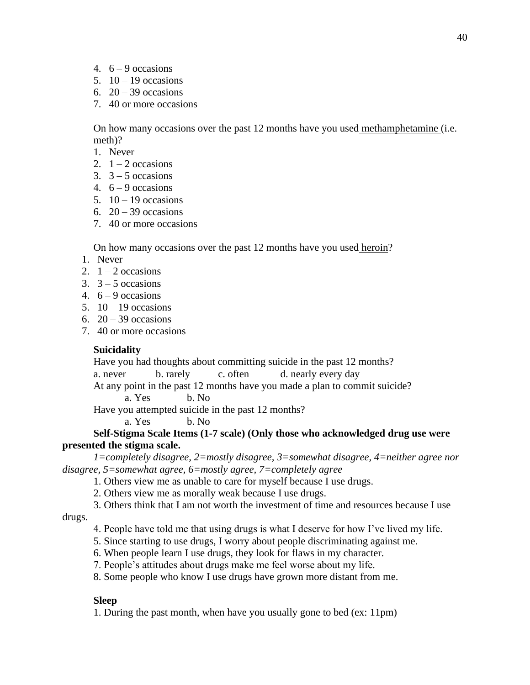- 4.  $6 9$  occasions
- 5.  $10 19$  occasions
- 6.  $20 39$  occasions
- 7. 40 or more occasions

On how many occasions over the past 12 months have you used methamphetamine (i.e. meth)?

- 1. Never
- 2.  $1 2$  occasions
- 3.  $3 5$  occasions
- 4.  $6 9$  occasions
- 5.  $10 19$  occasions
- 6.  $20 39$  occasions
- 7. 40 or more occasions

On how many occasions over the past 12 months have you used heroin?

- 1. Never
- 2.  $1 2$  occasions
- $3. \quad 3 5$  occasions
- 4.  $6 9$  occasions
- 5.  $10 19$  occasions
- 6.  $20 39$  occasions
- 7. 40 or more occasions

## **Suicidality**

Have you had thoughts about committing suicide in the past 12 months?

```
a. never b. rarely c. often d. nearly every day
```
At any point in the past 12 months have you made a plan to commit suicide?

a. Yes b. No

Have you attempted suicide in the past 12 months?

a. Yes b. No.

### **Self-Stigma Scale Items (1-7 scale) (Only those who acknowledged drug use were presented the stigma scale.**

*1=completely disagree, 2=mostly disagree, 3=somewhat disagree, 4=neither agree nor disagree, 5=somewhat agree, 6=mostly agree, 7=completely agree*

1. Others view me as unable to care for myself because I use drugs.

2. Others view me as morally weak because I use drugs.

3. Others think that I am not worth the investment of time and resources because I use

drugs.

- 4. People have told me that using drugs is what I deserve for how I've lived my life.
- 5. Since starting to use drugs, I worry about people discriminating against me.
- 6. When people learn I use drugs, they look for flaws in my character.
- 7. People's attitudes about drugs make me feel worse about my life.
- 8. Some people who know I use drugs have grown more distant from me.

## **Sleep**

1. During the past month, when have you usually gone to bed (ex: 11pm)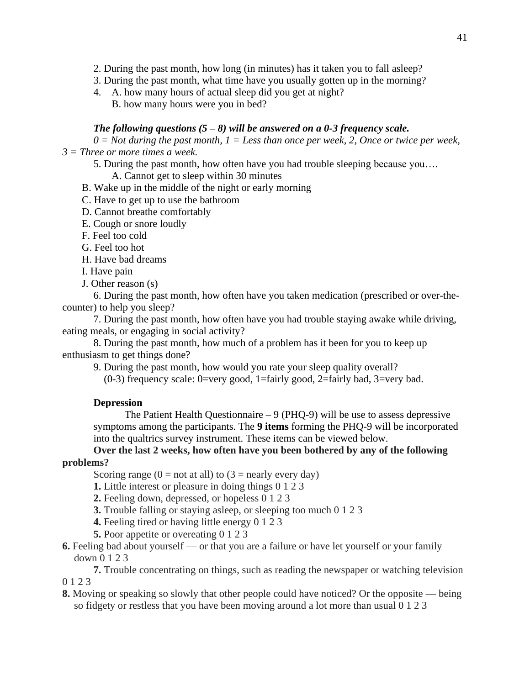2. During the past month, how long (in minutes) has it taken you to fall asleep?

3. During the past month, what time have you usually gotten up in the morning?

4. A. how many hours of actual sleep did you get at night? B. how many hours were you in bed?

### *The following questions (5 – 8) will be answered on a 0-3 frequency scale.*

 $0 = Not$  during the past month,  $1 =$  Less than once per week, 2, Once or twice per week, *3 = Three or more times a week.*

5. During the past month, how often have you had trouble sleeping because you….

A. Cannot get to sleep within 30 minutes

B. Wake up in the middle of the night or early morning

C. Have to get up to use the bathroom

D. Cannot breathe comfortably

E. Cough or snore loudly

F. Feel too cold

G. Feel too hot

H. Have bad dreams

I. Have pain

J. Other reason (s)

6. During the past month, how often have you taken medication (prescribed or over-thecounter) to help you sleep?

7. During the past month, how often have you had trouble staying awake while driving, eating meals, or engaging in social activity?

8. During the past month, how much of a problem has it been for you to keep up enthusiasm to get things done?

9. During the past month, how would you rate your sleep quality overall?

 $(0-3)$  frequency scale: 0=very good, 1=fairly good, 2=fairly bad, 3=very bad.

## **Depression**

The Patient Health Questionnaire  $-9$  (PHQ-9) will be use to assess depressive symptoms among the participants. The **9 items** forming the PHQ-9 will be incorporated into the qualtrics survey instrument. These items can be viewed below.

**Over the last 2 weeks, how often have you been bothered by any of the following problems?**

Scoring range  $(0 = not at all)$  to  $(3 = nearly every day)$ 

**1.** Little interest or pleasure in doing things 0 1 2 3

- **2.** Feeling down, depressed, or hopeless 0 1 2 3
- **3.** Trouble falling or staying asleep, or sleeping too much 0 1 2 3
- **4.** Feeling tired or having little energy 0 1 2 3
- **5.** Poor appetite or overeating 0 1 2 3
- **6.** Feeling bad about yourself or that you are a failure or have let yourself or your family down 0 1 2 3
- **7.** Trouble concentrating on things, such as reading the newspaper or watching television 0 1 2 3
- **8.** Moving or speaking so slowly that other people could have noticed? Or the opposite being so fidgety or restless that you have been moving around a lot more than usual 0 1 2 3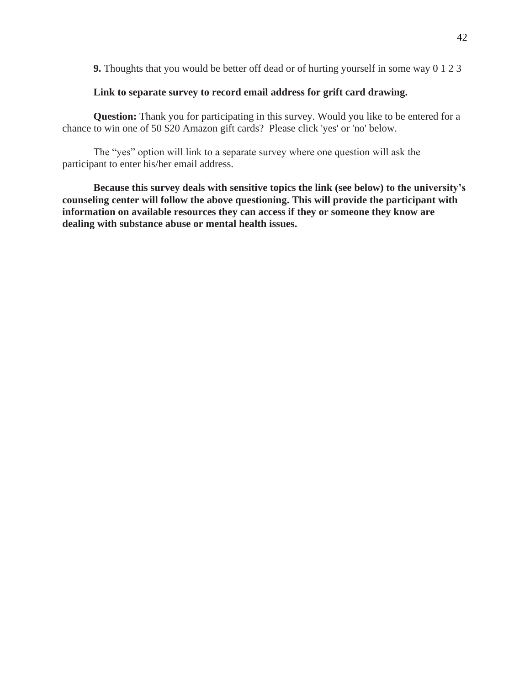**9.** Thoughts that you would be better off dead or of hurting yourself in some way 0 1 2 3

## **Link to separate survey to record email address for grift card drawing.**

**Question:** Thank you for participating in this survey. Would you like to be entered for a chance to win one of 50 \$20 Amazon gift cards? Please click 'yes' or 'no' below.

The "yes" option will link to a separate survey where one question will ask the participant to enter his/her email address.

**Because this survey deals with sensitive topics the link (see below) to the university's counseling center will follow the above questioning. This will provide the participant with information on available resources they can access if they or someone they know are dealing with substance abuse or mental health issues.**